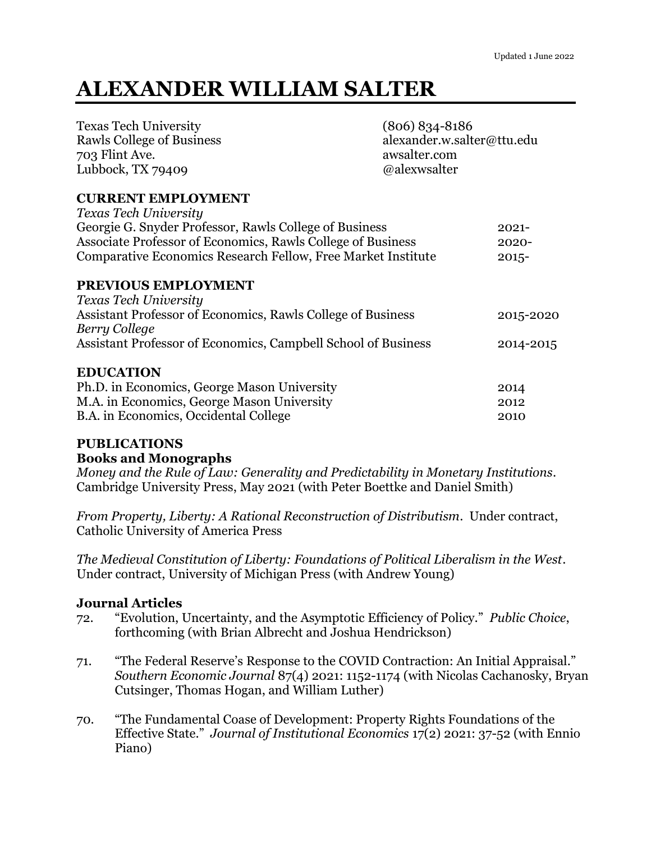# **ALEXANDER WILLIAM SALTER**

| $(806) 834 - 8186$                                          |                                                                                                                                                                                                                       |
|-------------------------------------------------------------|-----------------------------------------------------------------------------------------------------------------------------------------------------------------------------------------------------------------------|
| awsalter.com                                                |                                                                                                                                                                                                                       |
| @alexwsalter                                                |                                                                                                                                                                                                                       |
|                                                             |                                                                                                                                                                                                                       |
|                                                             |                                                                                                                                                                                                                       |
|                                                             | $2021 -$                                                                                                                                                                                                              |
| Associate Professor of Economics, Rawls College of Business | $2020 -$                                                                                                                                                                                                              |
|                                                             | $2015 -$                                                                                                                                                                                                              |
|                                                             |                                                                                                                                                                                                                       |
|                                                             |                                                                                                                                                                                                                       |
| Assistant Professor of Economics, Rawls College of Business | 2015-2020                                                                                                                                                                                                             |
|                                                             |                                                                                                                                                                                                                       |
|                                                             | 2014-2015                                                                                                                                                                                                             |
|                                                             |                                                                                                                                                                                                                       |
|                                                             | 2014                                                                                                                                                                                                                  |
|                                                             | 2012                                                                                                                                                                                                                  |
|                                                             | 2010                                                                                                                                                                                                                  |
|                                                             | alexander.w.salter@ttu.edu<br>Georgie G. Snyder Professor, Rawls College of Business<br>Comparative Economics Research Fellow, Free Market Institute<br>Assistant Professor of Economics, Campbell School of Business |

# **PUBLICATIONS**

### **Books and Monographs**

*Money and the Rule of Law: Generality and Predictability in Monetary Institutions*. Cambridge University Press, May 2021 (with Peter Boettke and Daniel Smith)

*From Property, Liberty: A Rational Reconstruction of Distributism*. Under contract, Catholic University of America Press

*The Medieval Constitution of Liberty: Foundations of Political Liberalism in the West*. Under contract, University of Michigan Press (with Andrew Young)

### **Journal Articles**

- 72. "Evolution, Uncertainty, and the Asymptotic Efficiency of Policy." *Public Choice*, forthcoming (with Brian Albrecht and Joshua Hendrickson)
- 71. "The Federal Reserve's Response to the COVID Contraction: An Initial Appraisal." *Southern Economic Journal* 87(4) 2021: 1152-1174 (with Nicolas Cachanosky, Bryan Cutsinger, Thomas Hogan, and William Luther)
- 70. "The Fundamental Coase of Development: Property Rights Foundations of the Effective State." *Journal of Institutional Economics* 17(2) 2021: 37-52 (with Ennio Piano)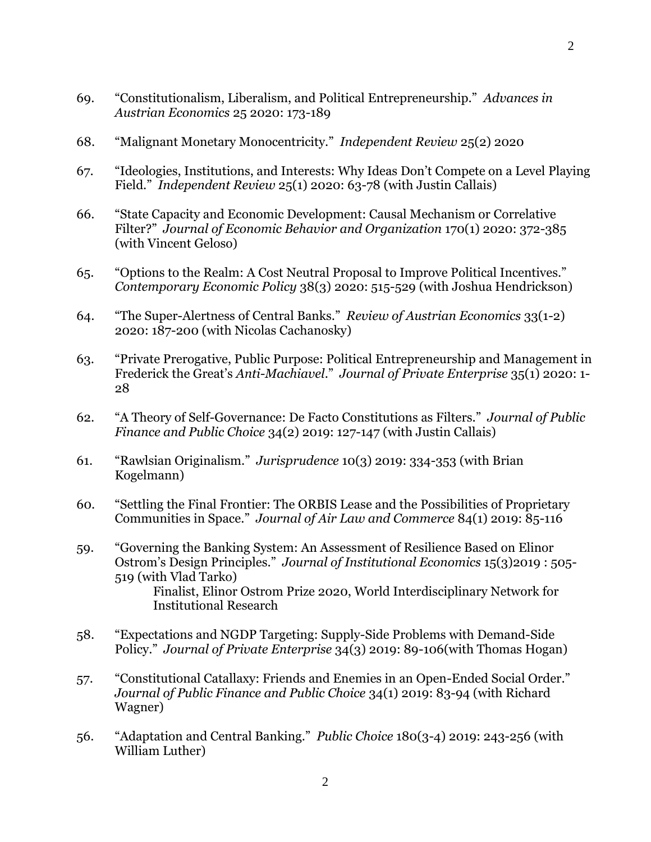- 69. "Constitutionalism, Liberalism, and Political Entrepreneurship." *Advances in Austrian Economics* 25 2020: 173-189
- 68. "Malignant Monetary Monocentricity." *Independent Review* 25(2) 2020
- 67. "Ideologies, Institutions, and Interests: Why Ideas Don't Compete on a Level Playing Field." *Independent Review* 25(1) 2020: 63-78 (with Justin Callais)
- 66. "State Capacity and Economic Development: Causal Mechanism or Correlative Filter?" *Journal of Economic Behavior and Organization* 170(1) 2020: 372-385 (with Vincent Geloso)
- 65. "Options to the Realm: A Cost Neutral Proposal to Improve Political Incentives." *Contemporary Economic Policy* 38(3) 2020: 515-529 (with Joshua Hendrickson)
- 64. "The Super-Alertness of Central Banks." *Review of Austrian Economics* 33(1-2) 2020: 187-200 (with Nicolas Cachanosky)
- 63. "Private Prerogative, Public Purpose: Political Entrepreneurship and Management in Frederick the Great's *Anti-Machiavel*." *Journal of Private Enterprise* 35(1) 2020: 1- 28
- 62. "A Theory of Self-Governance: De Facto Constitutions as Filters." *Journal of Public Finance and Public Choice* 34(2) 2019: 127-147 (with Justin Callais)
- 61. "Rawlsian Originalism." *Jurisprudence* 10(3) 2019: 334-353 (with Brian Kogelmann)
- 60. "Settling the Final Frontier: The ORBIS Lease and the Possibilities of Proprietary Communities in Space." *Journal of Air Law and Commerce* 84(1) 2019: 85-116
- 59. "Governing the Banking System: An Assessment of Resilience Based on Elinor Ostrom's Design Principles." *Journal of Institutional Economics* 15(3)2019 : 505- 519 (with Vlad Tarko) Finalist, Elinor Ostrom Prize 2020, World Interdisciplinary Network for Institutional Research
- 58. "Expectations and NGDP Targeting: Supply-Side Problems with Demand-Side Policy." *Journal of Private Enterprise* 34(3) 2019: 89-106(with Thomas Hogan)
- 57. "Constitutional Catallaxy: Friends and Enemies in an Open-Ended Social Order." *Journal of Public Finance and Public Choice* 34(1) 2019: 83-94 (with Richard Wagner)
- 56. "Adaptation and Central Banking." *Public Choice* 180(3-4) 2019: 243-256 (with William Luther)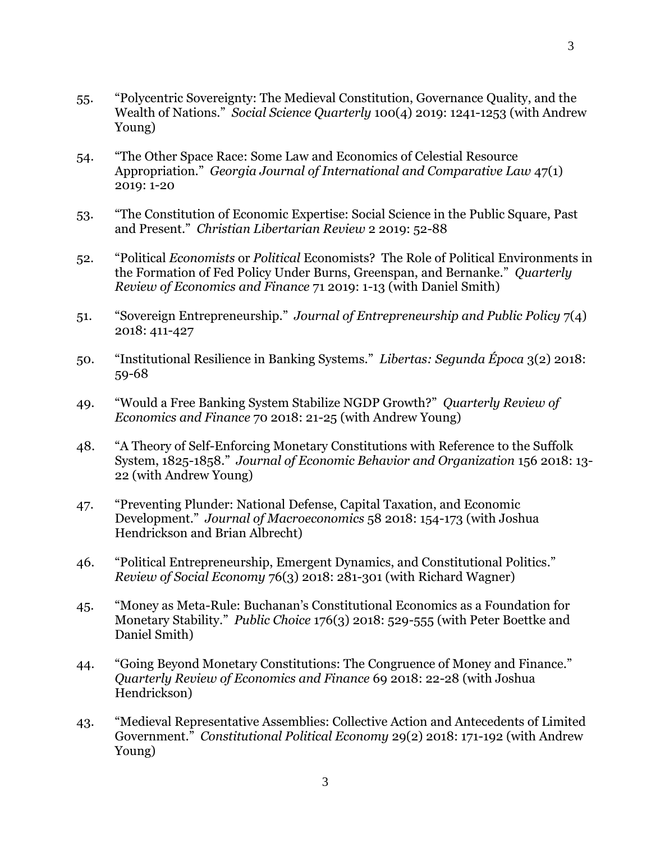- 55. "Polycentric Sovereignty: The Medieval Constitution, Governance Quality, and the Wealth of Nations." *Social Science Quarterly* 100(4) 2019: 1241-1253 (with Andrew Young)
- 54. "The Other Space Race: Some Law and Economics of Celestial Resource Appropriation." *Georgia Journal of International and Comparative Law* 47(1) 2019: 1-20
- 53. "The Constitution of Economic Expertise: Social Science in the Public Square, Past and Present." *Christian Libertarian Review* 2 2019: 52-88
- 52. "Political *Economists* or *Political* Economists? The Role of Political Environments in the Formation of Fed Policy Under Burns, Greenspan, and Bernanke." *Quarterly Review of Economics and Finance* 71 2019: 1-13 (with Daniel Smith)
- 51. "Sovereign Entrepreneurship." *Journal of Entrepreneurship and Public Policy* 7(4) 2018: 411-427
- 50. "Institutional Resilience in Banking Systems." *Libertas: Segunda Época* 3(2) 2018: 59-68
- 49. "Would a Free Banking System Stabilize NGDP Growth?" *Quarterly Review of Economics and Finance* 70 2018: 21-25 (with Andrew Young)
- 48. "A Theory of Self-Enforcing Monetary Constitutions with Reference to the Suffolk System, 1825-1858." *Journal of Economic Behavior and Organization* 156 2018: 13- 22 (with Andrew Young)
- 47. "Preventing Plunder: National Defense, Capital Taxation, and Economic Development." *Journal of Macroeconomics* 58 2018: 154-173 (with Joshua Hendrickson and Brian Albrecht)
- 46. "Political Entrepreneurship, Emergent Dynamics, and Constitutional Politics." *Review of Social Economy* 76(3) 2018: 281-301 (with Richard Wagner)
- 45. "Money as Meta-Rule: Buchanan's Constitutional Economics as a Foundation for Monetary Stability." *Public Choice* 176(3) 2018: 529-555 (with Peter Boettke and Daniel Smith)
- 44. "Going Beyond Monetary Constitutions: The Congruence of Money and Finance." *Quarterly Review of Economics and Finance* 69 2018: 22-28 (with Joshua Hendrickson)
- 43. "Medieval Representative Assemblies: Collective Action and Antecedents of Limited Government." *Constitutional Political Economy* 29(2) 2018: 171-192 (with Andrew Young)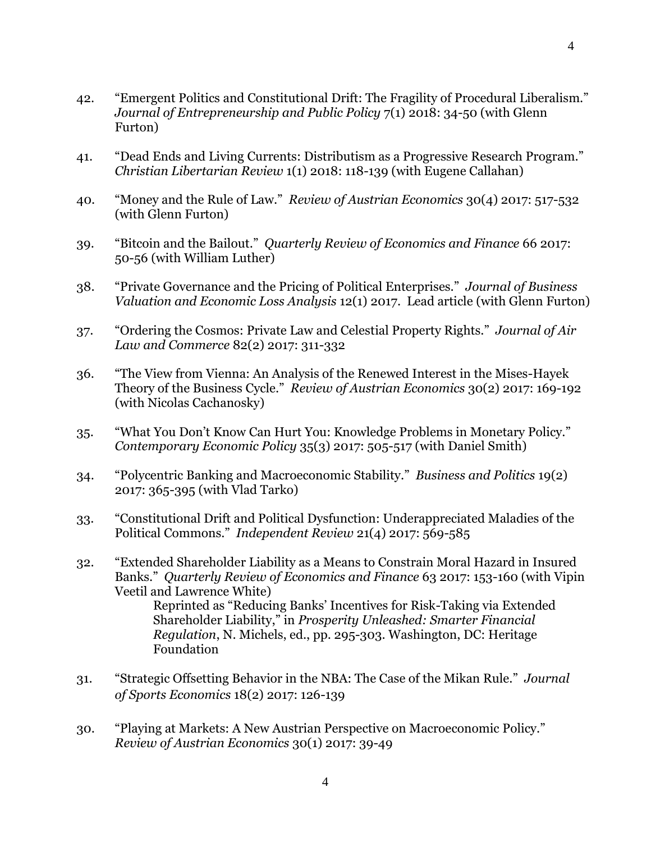- 42. "Emergent Politics and Constitutional Drift: The Fragility of Procedural Liberalism." *Journal of Entrepreneurship and Public Policy* 7(1) 2018: 34-50 (with Glenn Furton)
- 41. "Dead Ends and Living Currents: Distributism as a Progressive Research Program." *Christian Libertarian Review* 1(1) 2018: 118-139 (with Eugene Callahan)
- 40. "Money and the Rule of Law." *Review of Austrian Economics* 30(4) 2017: 517-532 (with Glenn Furton)
- 39. "Bitcoin and the Bailout." *Quarterly Review of Economics and Finance* 66 2017: 50-56 (with William Luther)
- 38. "Private Governance and the Pricing of Political Enterprises." *Journal of Business Valuation and Economic Loss Analysis* 12(1) 2017. Lead article (with Glenn Furton)
- 37. "Ordering the Cosmos: Private Law and Celestial Property Rights." *Journal of Air Law and Commerce* 82(2) 2017: 311-332
- 36. "The View from Vienna: An Analysis of the Renewed Interest in the Mises-Hayek Theory of the Business Cycle." *Review of Austrian Economics* 30(2) 2017: 169-192 (with Nicolas Cachanosky)
- 35. "What You Don't Know Can Hurt You: Knowledge Problems in Monetary Policy." *Contemporary Economic Policy* 35(3) 2017: 505-517 (with Daniel Smith)
- 34. "Polycentric Banking and Macroeconomic Stability." *Business and Politics* 19(2) 2017: 365-395 (with Vlad Tarko)
- 33. "Constitutional Drift and Political Dysfunction: Underappreciated Maladies of the Political Commons." *Independent Review* 21(4) 2017: 569-585
- 32. "Extended Shareholder Liability as a Means to Constrain Moral Hazard in Insured Banks." *Quarterly Review of Economics and Finance* 63 2017: 153-160 (with Vipin Veetil and Lawrence White) Reprinted as "Reducing Banks' Incentives for Risk-Taking via Extended Shareholder Liability," in *Prosperity Unleashed: Smarter Financial Regulation*, N. Michels, ed., pp. 295-303. Washington, DC: Heritage Foundation
- 31. "Strategic Offsetting Behavior in the NBA: The Case of the Mikan Rule." *Journal of Sports Economics* 18(2) 2017: 126-139
- 30. "Playing at Markets: A New Austrian Perspective on Macroeconomic Policy." *Review of Austrian Economics* 30(1) 2017: 39-49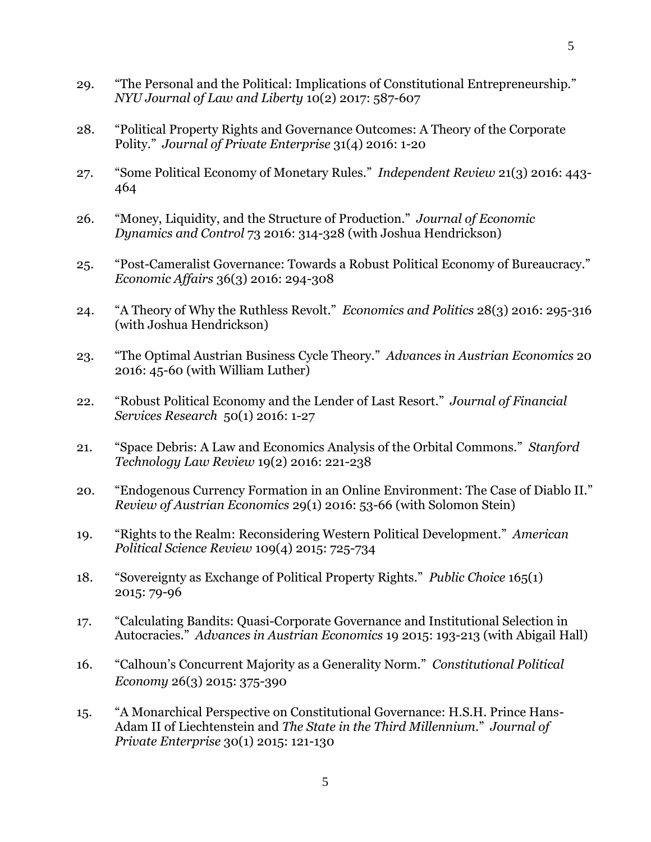- 29. "The Personal and the Political: Implications of Constitutional Entrepreneurship." *NYU Journal of Law and Liberty* 10(2) 2017: 587-607
- 28. "Political Property Rights and Governance Outcomes: A Theory of the Corporate Polity." *Journal of Private Enterprise* 31(4) 2016: 1-20
- 27. "Some Political Economy of Monetary Rules." *Independent Review* 21(3) 2016: 443- 464
- 26. "Money, Liquidity, and the Structure of Production." *Journal of Economic Dynamics and Control* 73 2016: 314-328 (with Joshua Hendrickson)
- 25. "Post-Cameralist Governance: Towards a Robust Political Economy of Bureaucracy." *Economic Affairs* 36(3) 2016: 294-308
- 24. "A Theory of Why the Ruthless Revolt." *Economics and Politics* 28(3) 2016: 295-316 (with Joshua Hendrickson)
- 23. "The Optimal Austrian Business Cycle Theory." *Advances in Austrian Economics* 20 2016: 45-60 (with William Luther)
- 22. "Robust Political Economy and the Lender of Last Resort." *Journal of Financial Services Research* 50(1) 2016: 1-27
- 21. "Space Debris: A Law and Economics Analysis of the Orbital Commons." *Stanford Technology Law Review* 19(2) 2016: 221-238
- 20. "Endogenous Currency Formation in an Online Environment: The Case of Diablo II." *Review of Austrian Economics* 29(1) 2016: 53-66 (with Solomon Stein)
- 19. "Rights to the Realm: Reconsidering Western Political Development." *American Political Science Review* 109(4) 2015: 725-734
- 18. "Sovereignty as Exchange of Political Property Rights." *Public Choice* 165(1) 2015: 79-96
- 17. "Calculating Bandits: Quasi-Corporate Governance and Institutional Selection in Autocracies." *Advances in Austrian Economics* 19 2015: 193-213 (with Abigail Hall)
- 16. "Calhoun's Concurrent Majority as a Generality Norm." *Constitutional Political Economy* 26(3) 2015: 375-390
- 15. "A Monarchical Perspective on Constitutional Governance: H.S.H. Prince Hans-Adam II of Liechtenstein and *The State in the Third Millennium*." *Journal of Private Enterprise* 30(1) 2015: 121-130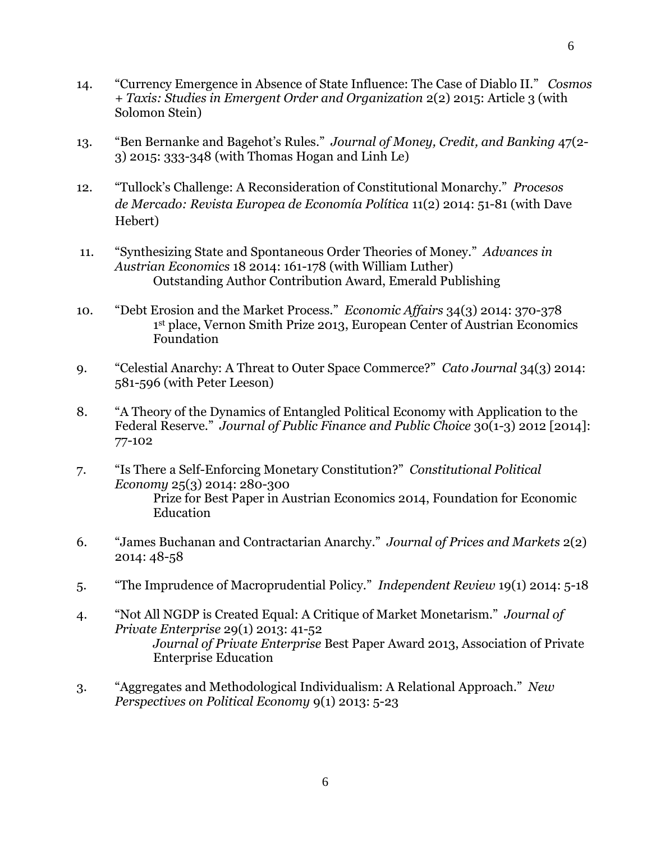- 14. "Currency Emergence in Absence of State Influence: The Case of Diablo II." *Cosmos + Taxis: Studies in Emergent Order and Organization* 2(2) 2015: Article 3 (with Solomon Stein)
- 13. "Ben Bernanke and Bagehot's Rules." *Journal of Money, Credit, and Banking* 47(2- 3) 2015: 333-348 (with Thomas Hogan and Linh Le)
- 12. "Tullock's Challenge: A Reconsideration of Constitutional Monarchy." *Procesos de Mercado: Revista Europea de Economía Política* 11(2) 2014: 51-81 (with Dave Hebert)
- 11. "Synthesizing State and Spontaneous Order Theories of Money." *Advances in Austrian Economics* 18 2014: 161-178 (with William Luther) Outstanding Author Contribution Award, Emerald Publishing
- 10. "Debt Erosion and the Market Process." *Economic Affairs* 34(3) 2014: 370-378 1 st place, Vernon Smith Prize 2013, European Center of Austrian Economics Foundation
- 9. "Celestial Anarchy: A Threat to Outer Space Commerce?" *Cato Journal* 34(3) 2014: 581-596 (with Peter Leeson)
- 8. "A Theory of the Dynamics of Entangled Political Economy with Application to the Federal Reserve." *Journal of Public Finance and Public Choice* 30(1-3) 2012 [2014]: 77-102
- 7. "Is There a Self-Enforcing Monetary Constitution?" *Constitutional Political Economy* 25(3) 2014: 280-300 Prize for Best Paper in Austrian Economics 2014, Foundation for Economic Education
- 6. "James Buchanan and Contractarian Anarchy." *Journal of Prices and Markets* 2(2) 2014: 48-58
- 5. "The Imprudence of Macroprudential Policy." *Independent Review* 19(1) 2014: 5-18
- 4. "Not All NGDP is Created Equal: A Critique of Market Monetarism." *Journal of Private Enterprise* 29(1) 2013: 41-52 *Journal of Private Enterprise* Best Paper Award 2013, Association of Private Enterprise Education
- 3. "Aggregates and Methodological Individualism: A Relational Approach." *New Perspectives on Political Economy* 9(1) 2013: 5-23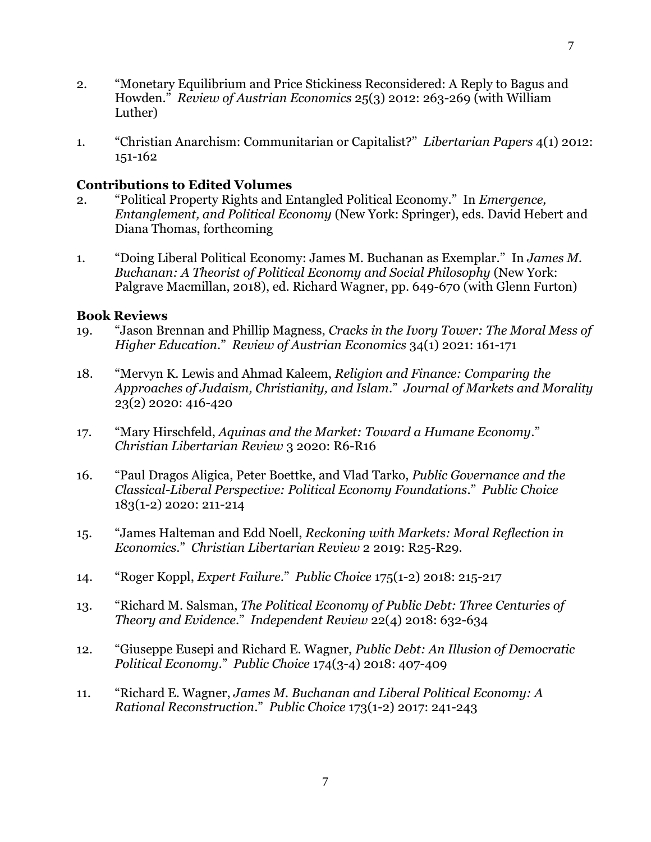- 2. "Monetary Equilibrium and Price Stickiness Reconsidered: A Reply to Bagus and Howden." *Review of Austrian Economics* 25(3) 2012: 263-269 (with William Luther)
- 1. "Christian Anarchism: Communitarian or Capitalist?" *Libertarian Papers* 4(1) 2012: 151-162

# **Contributions to Edited Volumes**

- 2. "Political Property Rights and Entangled Political Economy." In *Emergence, Entanglement, and Political Economy* (New York: Springer), eds. David Hebert and Diana Thomas, forthcoming
- 1. "Doing Liberal Political Economy: James M. Buchanan as Exemplar." In *James M. Buchanan: A Theorist of Political Economy and Social Philosophy* (New York: Palgrave Macmillan, 2018), ed. Richard Wagner, pp. 649-670 (with Glenn Furton)

# **Book Reviews**

- 19. "Jason Brennan and Phillip Magness, *Cracks in the Ivory Tower: The Moral Mess of Higher Education*." *Review of Austrian Economics* 34(1) 2021: 161-171
- 18. "Mervyn K. Lewis and Ahmad Kaleem, *Religion and Finance: Comparing the Approaches of Judaism, Christianity, and Islam*." *Journal of Markets and Morality*  23(2) 2020: 416-420
- 17. "Mary Hirschfeld, *Aquinas and the Market: Toward a Humane Economy*." *Christian Libertarian Review* 3 2020: R6-R16
- 16. "Paul Dragos Aligica, Peter Boettke, and Vlad Tarko, *Public Governance and the Classical-Liberal Perspective: Political Economy Foundations*." *Public Choice* 183(1-2) 2020: 211-214
- 15. "James Halteman and Edd Noell, *Reckoning with Markets: Moral Reflection in Economics*." *Christian Libertarian Review* 2 2019: R25-R29.
- 14. "Roger Koppl, *Expert Failure*." *Public Choice* 175(1-2) 2018: 215-217
- 13. "Richard M. Salsman, *The Political Economy of Public Debt: Three Centuries of Theory and Evidence*." *Independent Review* 22(4) 2018: 632-634
- 12. "Giuseppe Eusepi and Richard E. Wagner, *Public Debt: An Illusion of Democratic Political Economy*." *Public Choice* 174(3-4) 2018: 407-409
- 11. "Richard E. Wagner, *James M. Buchanan and Liberal Political Economy: A Rational Reconstruction*." *Public Choice* 173(1-2) 2017: 241-243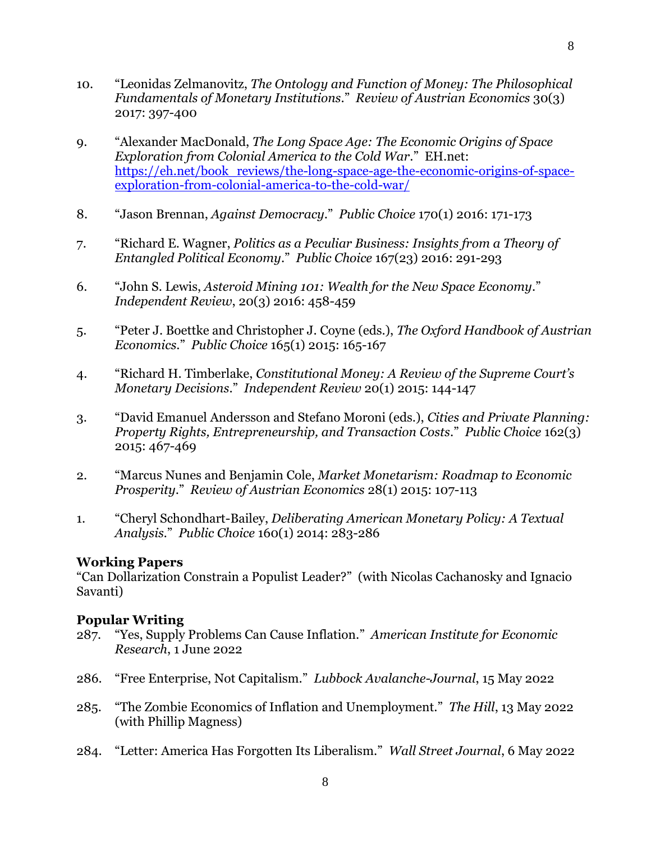- 10. "Leonidas Zelmanovitz, *The Ontology and Function of Money: The Philosophical Fundamentals of Monetary Institutions*." *Review of Austrian Economics* 30(3) 2017: 397-400
- 9. "Alexander MacDonald, *The Long Space Age: The Economic Origins of Space Exploration from Colonial America to the Cold War*." EH.net: [https://eh.net/book\\_reviews/the-long-space-age-the-economic-origins-of-space](https://eh.net/book_reviews/the-long-space-age-the-economic-origins-of-space-exploration-from-colonial-america-to-the-cold-war/)[exploration-from-colonial-america-to-the-cold-war/](https://eh.net/book_reviews/the-long-space-age-the-economic-origins-of-space-exploration-from-colonial-america-to-the-cold-war/)
- 8. "Jason Brennan, *Against Democracy*." *Public Choice* 170(1) 2016: 171-173
- 7. "Richard E. Wagner, *Politics as a Peculiar Business: Insights from a Theory of Entangled Political Economy*." *Public Choice* 167(23) 2016: 291-293
- 6. "John S. Lewis, *Asteroid Mining 101: Wealth for the New Space Economy*." *Independent Review*, 20(3) 2016: 458-459
- 5. "Peter J. Boettke and Christopher J. Coyne (eds.), *The Oxford Handbook of Austrian Economics*." *Public Choice* 165(1) 2015: 165-167
- 4. "Richard H. Timberlake, *Constitutional Money: A Review of the Supreme Court's Monetary Decisions*." *Independent Review* 20(1) 2015: 144-147
- 3. "David Emanuel Andersson and Stefano Moroni (eds.), *Cities and Private Planning: Property Rights, Entrepreneurship, and Transaction Costs*." *Public Choice* 162(3) 2015: 467-469
- 2. "Marcus Nunes and Benjamin Cole, *Market Monetarism: Roadmap to Economic Prosperity*." *Review of Austrian Economics* 28(1) 2015: 107-113
- 1. "Cheryl Schondhart-Bailey, *Deliberating American Monetary Policy: A Textual Analysis.*" *Public Choice* 160(1) 2014: 283-286

# **Working Papers**

"Can Dollarization Constrain a Populist Leader?" (with Nicolas Cachanosky and Ignacio Savanti)

# **Popular Writing**

- 287. "Yes, Supply Problems Can Cause Inflation." *American Institute for Economic Research*, 1 June 2022
- 286. "Free Enterprise, Not Capitalism." *Lubbock Avalanche-Journal*, 15 May 2022
- 285. "The Zombie Economics of Inflation and Unemployment." *The Hill*, 13 May 2022 (with Phillip Magness)
- 284. "Letter: America Has Forgotten Its Liberalism." *Wall Street Journal*, 6 May 2022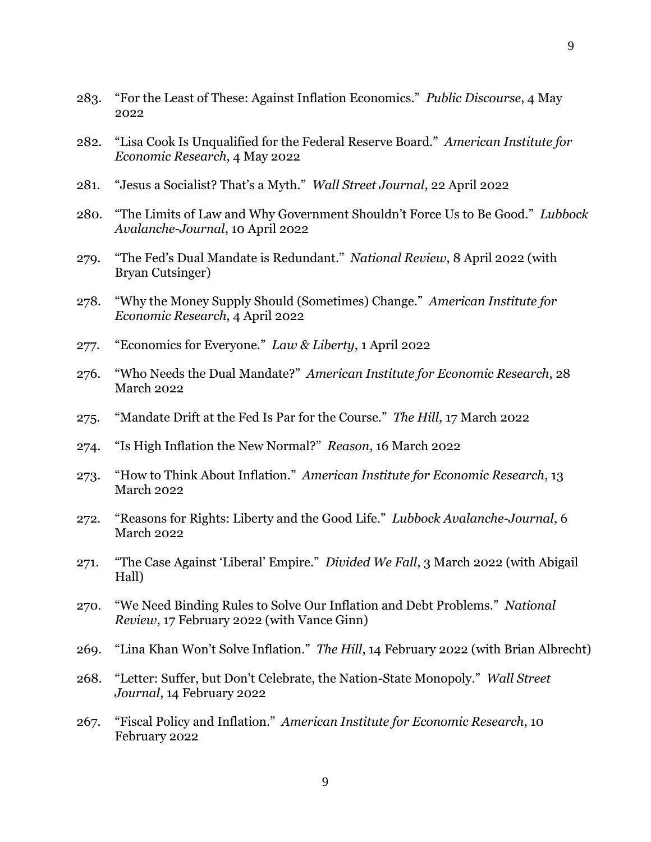- 283. "For the Least of These: Against Inflation Economics." *Public Discourse*, 4 May 2022
- 282. "Lisa Cook Is Unqualified for the Federal Reserve Board." *American Institute for Economic Research*, 4 May 2022
- 281. "Jesus a Socialist? That's a Myth." *Wall Street Journal*, 22 April 2022
- 280. "The Limits of Law and Why Government Shouldn't Force Us to Be Good." *Lubbock Avalanche-Journal*, 10 April 2022
- 279. "The Fed's Dual Mandate is Redundant." *National Review*, 8 April 2022 (with Bryan Cutsinger)
- 278. "Why the Money Supply Should (Sometimes) Change." *American Institute for Economic Research*, 4 April 2022
- 277. "Economics for Everyone." *Law & Liberty*, 1 April 2022
- 276. "Who Needs the Dual Mandate?" *American Institute for Economic Research*, 28 March 2022
- 275. "Mandate Drift at the Fed Is Par for the Course." *The Hill*, 17 March 2022
- 274. "Is High Inflation the New Normal?" *Reason*, 16 March 2022
- 273. "How to Think About Inflation." *American Institute for Economic Research*, 13 March 2022
- 272. "Reasons for Rights: Liberty and the Good Life." *Lubbock Avalanche-Journal*, 6 March 2022
- 271. "The Case Against 'Liberal' Empire." *Divided We Fall*, 3 March 2022 (with Abigail Hall)
- 270. "We Need Binding Rules to Solve Our Inflation and Debt Problems." *National Review*, 17 February 2022 (with Vance Ginn)
- 269. "Lina Khan Won't Solve Inflation." *The Hill*, 14 February 2022 (with Brian Albrecht)
- 268. "Letter: Suffer, but Don't Celebrate, the Nation-State Monopoly." *Wall Street Journal*, 14 February 2022
- 267. "Fiscal Policy and Inflation." *American Institute for Economic Research*, 10 February 2022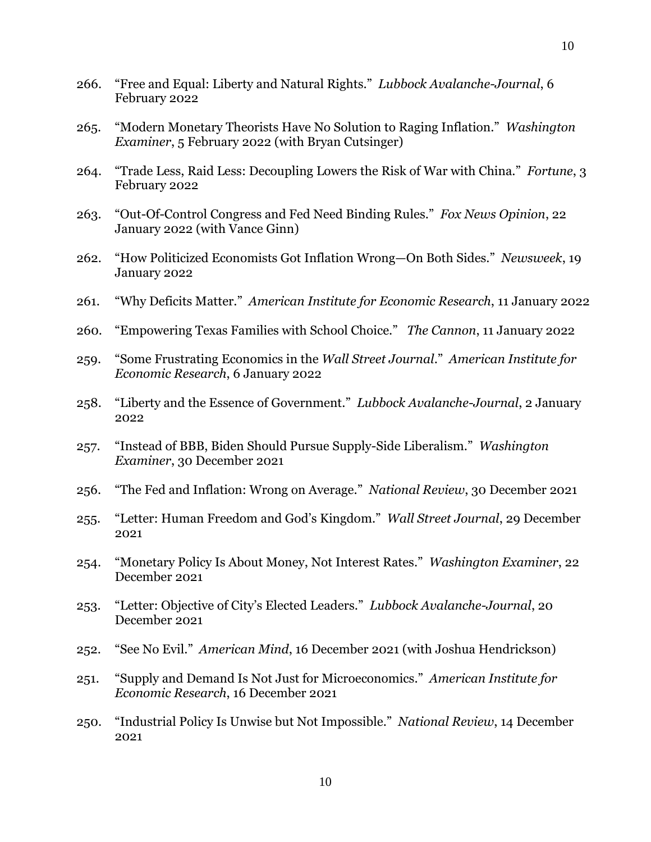- 266. "Free and Equal: Liberty and Natural Rights." *Lubbock Avalanche-Journal*, 6 February 2022
- 265. "Modern Monetary Theorists Have No Solution to Raging Inflation." *Washington Examiner*, 5 February 2022 (with Bryan Cutsinger)
- 264. "Trade Less, Raid Less: Decoupling Lowers the Risk of War with China." *Fortune*, 3 February 2022
- 263. "Out-Of-Control Congress and Fed Need Binding Rules." *Fox News Opinion*, 22 January 2022 (with Vance Ginn)
- 262. "How Politicized Economists Got Inflation Wrong—On Both Sides." *Newsweek*, 19 January 2022
- 261. "Why Deficits Matter." *American Institute for Economic Research*, 11 January 2022
- 260. "Empowering Texas Families with School Choice." *The Cannon*, 11 January 2022
- 259. "Some Frustrating Economics in the *Wall Street Journal*." *American Institute for Economic Research*, 6 January 2022
- 258. "Liberty and the Essence of Government." *Lubbock Avalanche-Journal*, 2 January 2022
- 257. "Instead of BBB, Biden Should Pursue Supply-Side Liberalism." *Washington Examiner*, 30 December 2021
- 256. "The Fed and Inflation: Wrong on Average." *National Review*, 30 December 2021
- 255. "Letter: Human Freedom and God's Kingdom." *Wall Street Journal*, 29 December 2021
- 254. "Monetary Policy Is About Money, Not Interest Rates." *Washington Examiner*, 22 December 2021
- 253. "Letter: Objective of City's Elected Leaders." *Lubbock Avalanche-Journal*, 20 December 2021
- 252. "See No Evil." *American Mind*, 16 December 2021 (with Joshua Hendrickson)
- 251. "Supply and Demand Is Not Just for Microeconomics." *American Institute for Economic Research*, 16 December 2021
- 250. "Industrial Policy Is Unwise but Not Impossible." *National Review*, 14 December 2021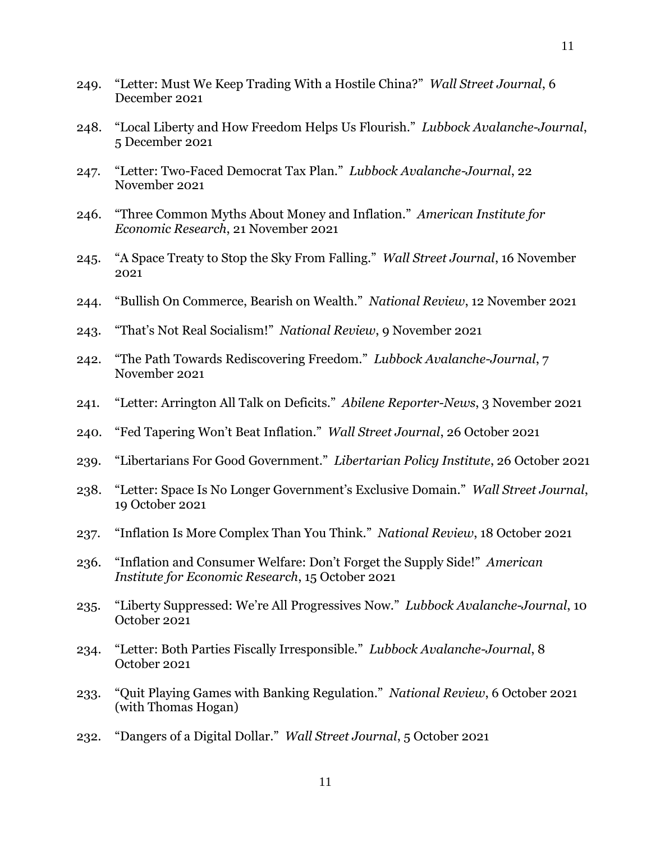- 249. "Letter: Must We Keep Trading With a Hostile China?" *Wall Street Journal*, 6 December 2021
- 248. "Local Liberty and How Freedom Helps Us Flourish." *Lubbock Avalanche-Journal*, 5 December 2021
- 247. "Letter: Two-Faced Democrat Tax Plan." *Lubbock Avalanche-Journal*, 22 November 2021
- 246. "Three Common Myths About Money and Inflation." *American Institute for Economic Research*, 21 November 2021
- 245. "A Space Treaty to Stop the Sky From Falling." *Wall Street Journal*, 16 November 2021
- 244. "Bullish On Commerce, Bearish on Wealth." *National Review*, 12 November 2021
- 243. "That's Not Real Socialism!" *National Review*, 9 November 2021
- 242. "The Path Towards Rediscovering Freedom." *Lubbock Avalanche-Journal*, 7 November 2021
- 241. "Letter: Arrington All Talk on Deficits." *Abilene Reporter-News*, 3 November 2021
- 240. "Fed Tapering Won't Beat Inflation." *Wall Street Journal*, 26 October 2021
- 239. "Libertarians For Good Government." *Libertarian Policy Institute*, 26 October 2021
- 238. "Letter: Space Is No Longer Government's Exclusive Domain." *Wall Street Journal*, 19 October 2021
- 237. "Inflation Is More Complex Than You Think." *National Review*, 18 October 2021
- 236. "Inflation and Consumer Welfare: Don't Forget the Supply Side!" *American Institute for Economic Research*, 15 October 2021
- 235. "Liberty Suppressed: We're All Progressives Now." *Lubbock Avalanche-Journal*, 10 October 2021
- 234. "Letter: Both Parties Fiscally Irresponsible." *Lubbock Avalanche-Journal*, 8 October 2021
- 233. "Quit Playing Games with Banking Regulation." *National Review*, 6 October 2021 (with Thomas Hogan)
- 232. "Dangers of a Digital Dollar." *Wall Street Journal*, 5 October 2021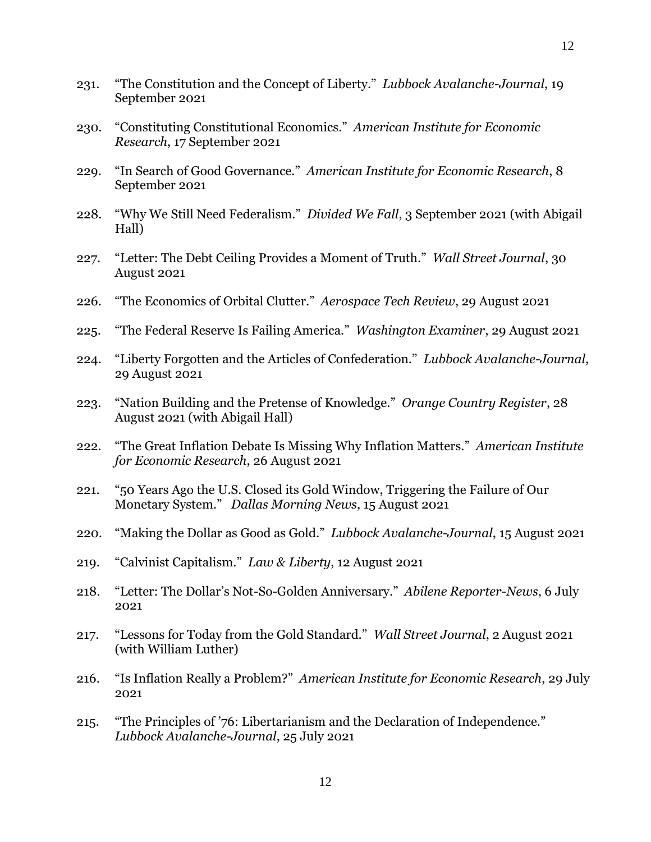- 231. "The Constitution and the Concept of Liberty." *Lubbock Avalanche-Journal*, 19 September 2021
- 230. "Constituting Constitutional Economics." *American Institute for Economic Research*, 17 September 2021
- 229. "In Search of Good Governance." *American Institute for Economic Research*, 8 September 2021
- 228. "Why We Still Need Federalism." *Divided We Fall*, 3 September 2021 (with Abigail Hall)
- 227. "Letter: The Debt Ceiling Provides a Moment of Truth." *Wall Street Journal*, 30 August 2021
- 226. "The Economics of Orbital Clutter." *Aerospace Tech Review*, 29 August 2021
- 225. "The Federal Reserve Is Failing America." *Washington Examiner*, 29 August 2021
- 224. "Liberty Forgotten and the Articles of Confederation." *Lubbock Avalanche-Journal*, 29 August 2021
- 223. "Nation Building and the Pretense of Knowledge." *Orange Country Register*, 28 August 2021 (with Abigail Hall)
- 222. "The Great Inflation Debate Is Missing Why Inflation Matters." *American Institute for Economic Research*, 26 August 2021
- 221. "50 Years Ago the U.S. Closed its Gold Window, Triggering the Failure of Our Monetary System." *Dallas Morning News*, 15 August 2021
- 220. "Making the Dollar as Good as Gold." *Lubbock Avalanche-Journal*, 15 August 2021
- 219. "Calvinist Capitalism." *Law & Liberty*, 12 August 2021
- 218. "Letter: The Dollar's Not-So-Golden Anniversary." *Abilene Reporter-News*, 6 July 2021
- 217. "Lessons for Today from the Gold Standard." *Wall Street Journal*, 2 August 2021 (with William Luther)
- 216. "Is Inflation Really a Problem?" *American Institute for Economic Research*, 29 July 2021
- 215. "The Principles of '76: Libertarianism and the Declaration of Independence." *Lubbock Avalanche-Journal*, 25 July 2021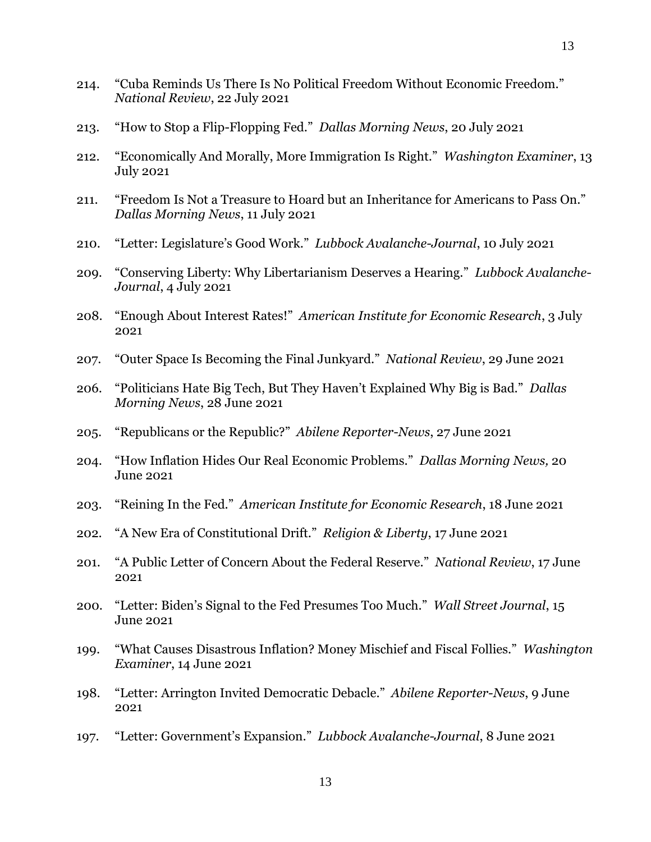- 214. "Cuba Reminds Us There Is No Political Freedom Without Economic Freedom." *National Review*, 22 July 2021
- 213. "How to Stop a Flip-Flopping Fed." *Dallas Morning News*, 20 July 2021
- 212. "Economically And Morally, More Immigration Is Right." *Washington Examiner*, 13 July 2021
- 211. "Freedom Is Not a Treasure to Hoard but an Inheritance for Americans to Pass On." *Dallas Morning News*, 11 July 2021
- 210. "Letter: Legislature's Good Work." *Lubbock Avalanche-Journal*, 10 July 2021
- 209. "Conserving Liberty: Why Libertarianism Deserves a Hearing." *Lubbock Avalanche-Journal*, 4 July 2021
- 208. "Enough About Interest Rates!" *American Institute for Economic Research*, 3 July 2021
- 207. "Outer Space Is Becoming the Final Junkyard." *National Review*, 29 June 2021
- 206. "Politicians Hate Big Tech, But They Haven't Explained Why Big is Bad." *Dallas Morning News*, 28 June 2021
- 205. "Republicans or the Republic?" *Abilene Reporter-News*, 27 June 2021
- 204. "How Inflation Hides Our Real Economic Problems." *Dallas Morning News,* 20 June 2021
- 203. "Reining In the Fed." *American Institute for Economic Research*, 18 June 2021
- 202. "A New Era of Constitutional Drift." *Religion & Liberty*, 17 June 2021
- 201. "A Public Letter of Concern About the Federal Reserve." *National Review*, 17 June 2021
- 200. "Letter: Biden's Signal to the Fed Presumes Too Much." *Wall Street Journal*, 15 June 2021
- 199. "What Causes Disastrous Inflation? Money Mischief and Fiscal Follies." *Washington Examiner*, 14 June 2021
- 198. "Letter: Arrington Invited Democratic Debacle." *Abilene Reporter-News*, 9 June 2021
- 197. "Letter: Government's Expansion." *Lubbock Avalanche-Journal*, 8 June 2021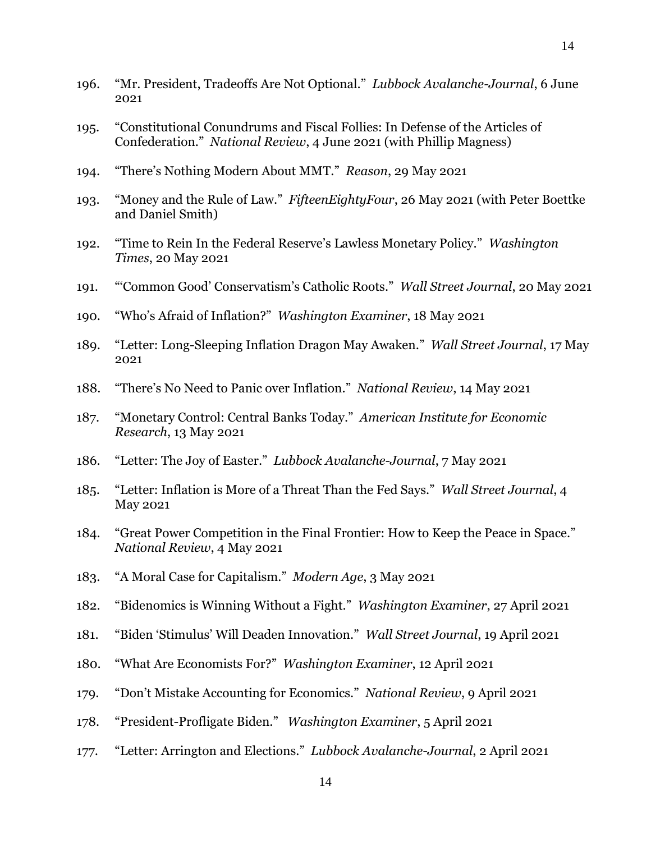- 195. "Constitutional Conundrums and Fiscal Follies: In Defense of the Articles of Confederation." *National Review*, 4 June 2021 (with Phillip Magness)
- 194. "There's Nothing Modern About MMT." *Reason*, 29 May 2021
- 193. "Money and the Rule of Law." *FifteenEightyFour*, 26 May 2021 (with Peter Boettke and Daniel Smith)
- 192. "Time to Rein In the Federal Reserve's Lawless Monetary Policy." *Washington Times*, 20 May 2021
- 191. "'Common Good' Conservatism's Catholic Roots." *Wall Street Journal*, 20 May 2021
- 190. "Who's Afraid of Inflation?" *Washington Examiner*, 18 May 2021
- 189. "Letter: Long-Sleeping Inflation Dragon May Awaken." *Wall Street Journal*, 17 May 2021
- 188. "There's No Need to Panic over Inflation." *National Review*, 14 May 2021
- 187. "Monetary Control: Central Banks Today." *American Institute for Economic Research*, 13 May 2021
- 186. "Letter: The Joy of Easter." *Lubbock Avalanche-Journal*, 7 May 2021
- 185. "Letter: Inflation is More of a Threat Than the Fed Says." *Wall Street Journal*, 4 May 2021
- 184. "Great Power Competition in the Final Frontier: How to Keep the Peace in Space." *National Review*, 4 May 2021
- 183. "A Moral Case for Capitalism." *Modern Age*, 3 May 2021
- 182. "Bidenomics is Winning Without a Fight." *Washington Examiner*, 27 April 2021
- 181. "Biden 'Stimulus' Will Deaden Innovation." *Wall Street Journal*, 19 April 2021
- 180. "What Are Economists For?" *Washington Examiner*, 12 April 2021
- 179. "Don't Mistake Accounting for Economics." *National Review*, 9 April 2021
- 178. "President-Profligate Biden." *Washington Examiner*, 5 April 2021
- 177. "Letter: Arrington and Elections." *Lubbock Avalanche-Journal*, 2 April 2021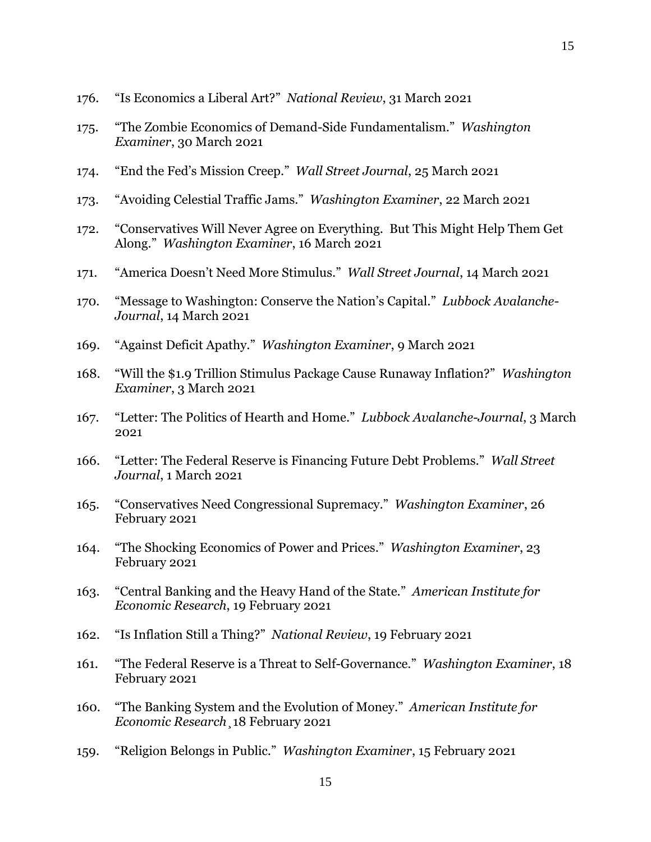- 176. "Is Economics a Liberal Art?" *National Review*, 31 March 2021
- 175. "The Zombie Economics of Demand-Side Fundamentalism." *Washington Examiner*, 30 March 2021
- 174. "End the Fed's Mission Creep." *Wall Street Journal*, 25 March 2021
- 173. "Avoiding Celestial Traffic Jams." *Washington Examiner*, 22 March 2021
- 172. "Conservatives Will Never Agree on Everything. But This Might Help Them Get Along." *Washington Examiner*, 16 March 2021
- 171. "America Doesn't Need More Stimulus." *Wall Street Journal*, 14 March 2021
- 170. "Message to Washington: Conserve the Nation's Capital." *Lubbock Avalanche-Journal*, 14 March 2021
- 169. "Against Deficit Apathy." *Washington Examiner*, 9 March 2021
- 168. "Will the \$1.9 Trillion Stimulus Package Cause Runaway Inflation?" *Washington Examiner*, 3 March 2021
- 167. "Letter: The Politics of Hearth and Home." *Lubbock Avalanche-Journal*, 3 March 2021
- 166. "Letter: The Federal Reserve is Financing Future Debt Problems." *Wall Street Journal*, 1 March 2021
- 165. "Conservatives Need Congressional Supremacy." *Washington Examiner*, 26 February 2021
- 164. "The Shocking Economics of Power and Prices." *Washington Examiner*, 23 February 2021
- 163. "Central Banking and the Heavy Hand of the State." *American Institute for Economic Research*, 19 February 2021
- 162. "Is Inflation Still a Thing?" *National Review*, 19 February 2021
- 161. "The Federal Reserve is a Threat to Self-Governance." *Washington Examiner*, 18 February 2021
- 160. "The Banking System and the Evolution of Money." *American Institute for Economic Research*¸18 February 2021
- 159. "Religion Belongs in Public." *Washington Examiner*, 15 February 2021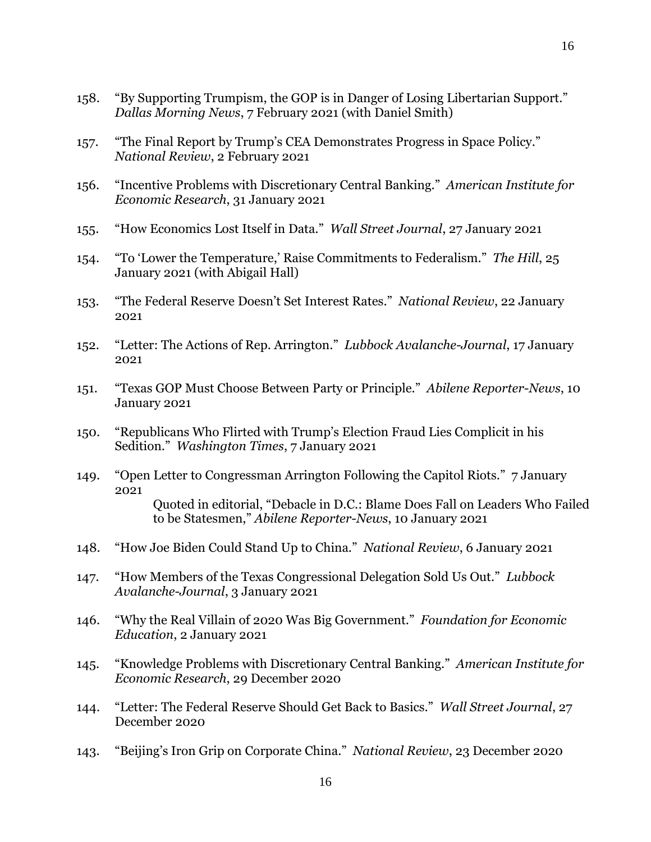- 158. "By Supporting Trumpism, the GOP is in Danger of Losing Libertarian Support." *Dallas Morning News*, 7 February 2021 (with Daniel Smith)
- 157. "The Final Report by Trump's CEA Demonstrates Progress in Space Policy." *National Review*, 2 February 2021
- 156. "Incentive Problems with Discretionary Central Banking." *American Institute for Economic Research*, 31 January 2021
- 155. "How Economics Lost Itself in Data." *Wall Street Journal*, 27 January 2021
- 154. "To 'Lower the Temperature,' Raise Commitments to Federalism." *The Hill*, 25 January 2021 (with Abigail Hall)
- 153. "The Federal Reserve Doesn't Set Interest Rates." *National Review*, 22 January 2021
- 152. "Letter: The Actions of Rep. Arrington." *Lubbock Avalanche-Journal*, 17 January 2021
- 151. "Texas GOP Must Choose Between Party or Principle." *Abilene Reporter-News*, 10 January 2021
- 150. "Republicans Who Flirted with Trump's Election Fraud Lies Complicit in his Sedition." *Washington Times*, 7 January 2021
- 149. "Open Letter to Congressman Arrington Following the Capitol Riots." 7 January 2021 Quoted in editorial, "Debacle in D.C.: Blame Does Fall on Leaders Who Failed to be Statesmen," *Abilene Reporter-News*, 10 January 2021
- 148. "How Joe Biden Could Stand Up to China." *National Review*, 6 January 2021
- 147. "How Members of the Texas Congressional Delegation Sold Us Out." *Lubbock Avalanche-Journal*, 3 January 2021
- 146. "Why the Real Villain of 2020 Was Big Government." *Foundation for Economic Education*, 2 January 2021
- 145. "Knowledge Problems with Discretionary Central Banking." *American Institute for Economic Research*, 29 December 2020
- 144. "Letter: The Federal Reserve Should Get Back to Basics." *Wall Street Journal*, 27 December 2020
- 143. "Beijing's Iron Grip on Corporate China." *National Review*, 23 December 2020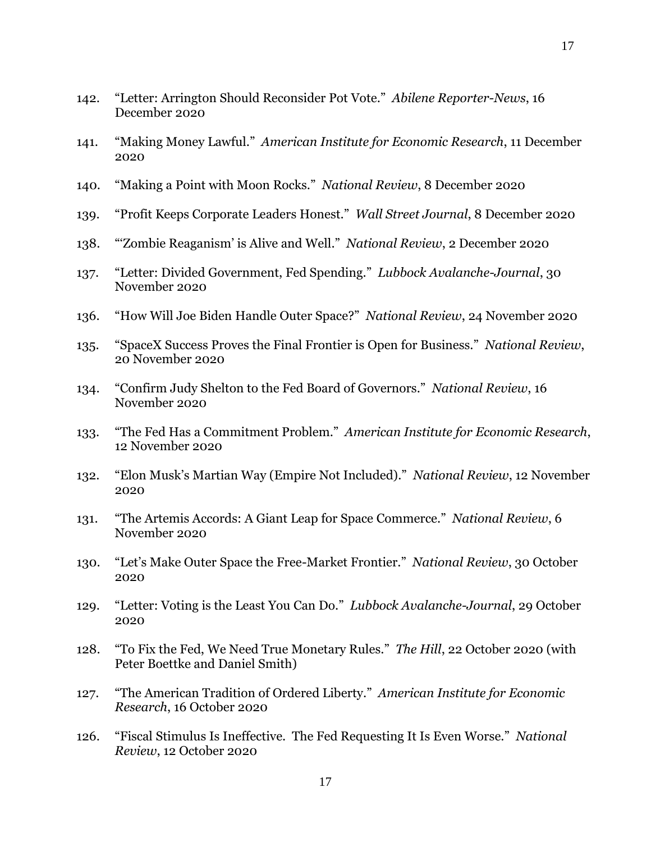- 142. "Letter: Arrington Should Reconsider Pot Vote." *Abilene Reporter-News*, 16 December 2020
- 141. "Making Money Lawful." *American Institute for Economic Research*, 11 December 2020
- 140. "Making a Point with Moon Rocks." *National Review*, 8 December 2020
- 139. "Profit Keeps Corporate Leaders Honest." *Wall Street Journal*, 8 December 2020
- 138. "'Zombie Reaganism' is Alive and Well." *National Review*, 2 December 2020
- 137. "Letter: Divided Government, Fed Spending." *Lubbock Avalanche-Journal*, 30 November 2020
- 136. "How Will Joe Biden Handle Outer Space?" *National Review*, 24 November 2020
- 135. "SpaceX Success Proves the Final Frontier is Open for Business." *National Review*, 20 November 2020
- 134. "Confirm Judy Shelton to the Fed Board of Governors." *National Review*, 16 November 2020
- 133. "The Fed Has a Commitment Problem." *American Institute for Economic Research*, 12 November 2020
- 132. "Elon Musk's Martian Way (Empire Not Included)." *National Review*, 12 November 2020
- 131. "The Artemis Accords: A Giant Leap for Space Commerce." *National Review*, 6 November 2020
- 130. "Let's Make Outer Space the Free-Market Frontier." *National Review*, 30 October 2020
- 129. "Letter: Voting is the Least You Can Do." *Lubbock Avalanche-Journal*, 29 October 2020
- 128. "To Fix the Fed, We Need True Monetary Rules." *The Hill*, 22 October 2020 (with Peter Boettke and Daniel Smith)
- 127. "The American Tradition of Ordered Liberty." *American Institute for Economic Research*, 16 October 2020
- 126. "Fiscal Stimulus Is Ineffective. The Fed Requesting It Is Even Worse." *National Review*, 12 October 2020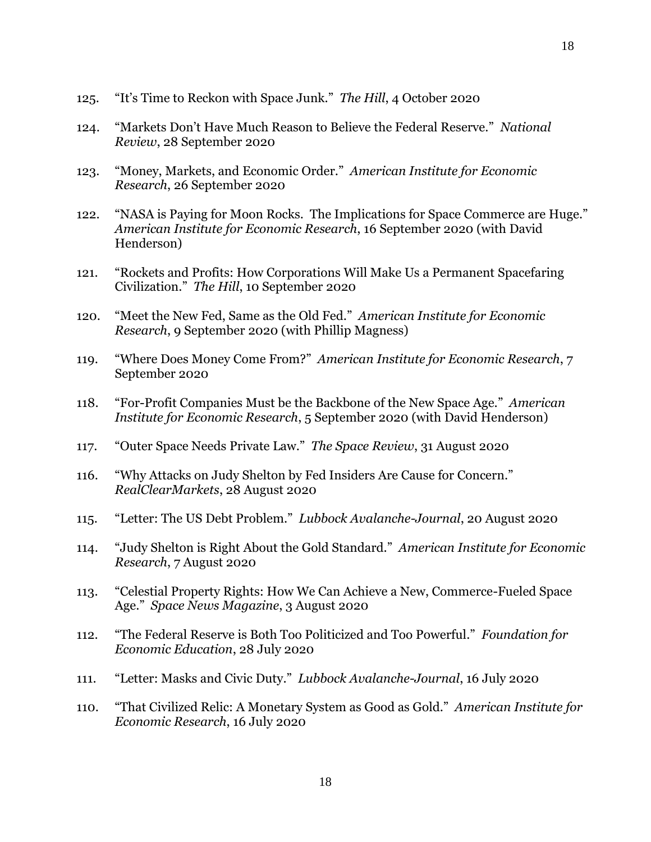- 125. "It's Time to Reckon with Space Junk." *The Hill*, 4 October 2020
- 124. "Markets Don't Have Much Reason to Believe the Federal Reserve." *National Review*, 28 September 2020
- 123. "Money, Markets, and Economic Order." *American Institute for Economic Research*, 26 September 2020
- 122. "NASA is Paying for Moon Rocks. The Implications for Space Commerce are Huge." *American Institute for Economic Research*, 16 September 2020 (with David Henderson)
- 121. "Rockets and Profits: How Corporations Will Make Us a Permanent Spacefaring Civilization." *The Hill*, 10 September 2020
- 120. "Meet the New Fed, Same as the Old Fed." *American Institute for Economic Research*, 9 September 2020 (with Phillip Magness)
- 119. "Where Does Money Come From?" *American Institute for Economic Research*, 7 September 2020
- 118. "For-Profit Companies Must be the Backbone of the New Space Age." *American Institute for Economic Research*, 5 September 2020 (with David Henderson)
- 117. "Outer Space Needs Private Law." *The Space Review*, 31 August 2020
- 116. "Why Attacks on Judy Shelton by Fed Insiders Are Cause for Concern." *RealClearMarkets*, 28 August 2020
- 115. "Letter: The US Debt Problem." *Lubbock Avalanche-Journal*, 20 August 2020
- 114. "Judy Shelton is Right About the Gold Standard." *American Institute for Economic Research*, 7 August 2020
- 113. "Celestial Property Rights: How We Can Achieve a New, Commerce-Fueled Space Age." *Space News Magazine*, 3 August 2020
- 112. "The Federal Reserve is Both Too Politicized and Too Powerful." *Foundation for Economic Education*, 28 July 2020
- 111. "Letter: Masks and Civic Duty." *Lubbock Avalanche-Journal*, 16 July 2020
- 110. "That Civilized Relic: A Monetary System as Good as Gold." *American Institute for Economic Research*, 16 July 2020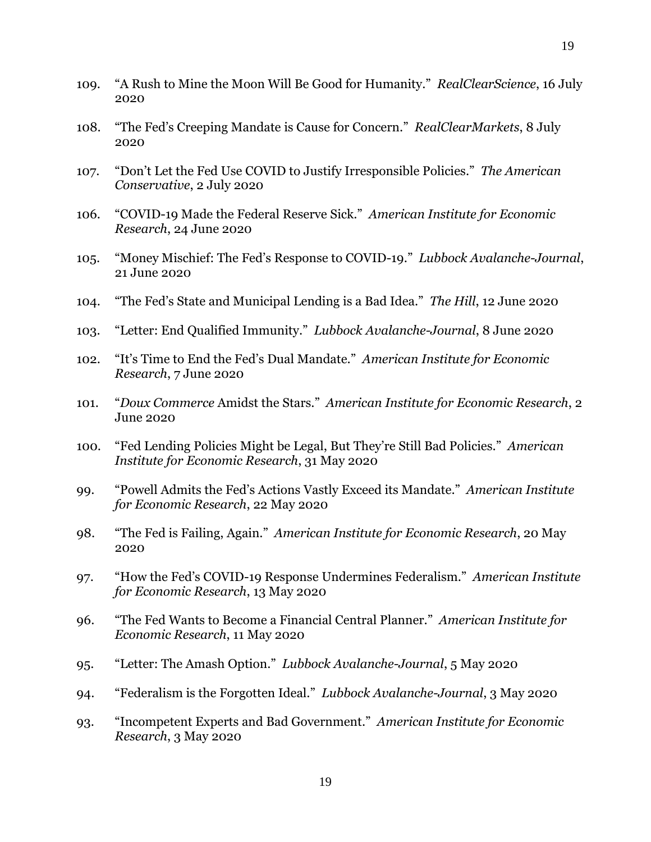- 109. "A Rush to Mine the Moon Will Be Good for Humanity." *RealClearScience*, 16 July 2020
- 108. "The Fed's Creeping Mandate is Cause for Concern." *RealClearMarkets*, 8 July 2020
- 107. "Don't Let the Fed Use COVID to Justify Irresponsible Policies." *The American Conservative*, 2 July 2020
- 106. "COVID-19 Made the Federal Reserve Sick." *American Institute for Economic Research*, 24 June 2020
- 105. "Money Mischief: The Fed's Response to COVID-19." *Lubbock Avalanche-Journal*, 21 June 2020
- 104. "The Fed's State and Municipal Lending is a Bad Idea." *The Hill*, 12 June 2020
- 103. "Letter: End Qualified Immunity." *Lubbock Avalanche-Journal*, 8 June 2020
- 102. "It's Time to End the Fed's Dual Mandate." *American Institute for Economic Research*, 7 June 2020
- 101. "*Doux Commerce* Amidst the Stars." *American Institute for Economic Research*, 2 June 2020
- 100. "Fed Lending Policies Might be Legal, But They're Still Bad Policies." *American Institute for Economic Research*, 31 May 2020
- 99. "Powell Admits the Fed's Actions Vastly Exceed its Mandate." *American Institute for Economic Research*, 22 May 2020
- 98. "The Fed is Failing, Again." *American Institute for Economic Research*, 20 May 2020
- 97. "How the Fed's COVID-19 Response Undermines Federalism." *American Institute for Economic Research*, 13 May 2020
- 96. "The Fed Wants to Become a Financial Central Planner." *American Institute for Economic Research*, 11 May 2020
- 95. "Letter: The Amash Option." *Lubbock Avalanche-Journal*, 5 May 2020
- 94. "Federalism is the Forgotten Ideal." *Lubbock Avalanche-Journal*, 3 May 2020
- 93. "Incompetent Experts and Bad Government." *American Institute for Economic Research*, 3 May 2020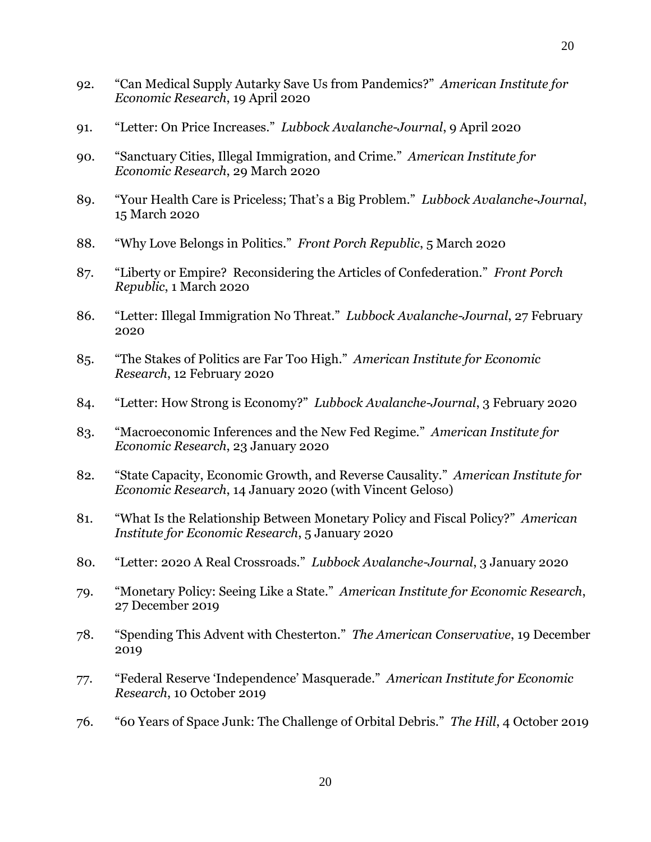- 92. "Can Medical Supply Autarky Save Us from Pandemics?" *American Institute for Economic Research*, 19 April 2020
- 91. "Letter: On Price Increases." *Lubbock Avalanche-Journal*, 9 April 2020
- 90. "Sanctuary Cities, Illegal Immigration, and Crime." *American Institute for Economic Research*, 29 March 2020
- 89. "Your Health Care is Priceless; That's a Big Problem." *Lubbock Avalanche-Journal*, 15 March 2020
- 88. "Why Love Belongs in Politics." *Front Porch Republic*, 5 March 2020
- 87. "Liberty or Empire? Reconsidering the Articles of Confederation." *Front Porch Republic*, 1 March 2020
- 86. "Letter: Illegal Immigration No Threat." *Lubbock Avalanche-Journal*, 27 February 2020
- 85. "The Stakes of Politics are Far Too High." *American Institute for Economic Research*, 12 February 2020
- 84. "Letter: How Strong is Economy?" *Lubbock Avalanche-Journal*, 3 February 2020
- 83. "Macroeconomic Inferences and the New Fed Regime." *American Institute for Economic Research*, 23 January 2020
- 82. "State Capacity, Economic Growth, and Reverse Causality." *American Institute for Economic Research*, 14 January 2020 (with Vincent Geloso)
- 81. "What Is the Relationship Between Monetary Policy and Fiscal Policy?" *American Institute for Economic Research*, 5 January 2020
- 80. "Letter: 2020 A Real Crossroads." *Lubbock Avalanche-Journal*, 3 January 2020
- 79. "Monetary Policy: Seeing Like a State." *American Institute for Economic Research*, 27 December 2019
- 78. "Spending This Advent with Chesterton." *The American Conservative*, 19 December 2019
- 77. "Federal Reserve 'Independence' Masquerade." *American Institute for Economic Research*, 10 October 2019
- 76. "60 Years of Space Junk: The Challenge of Orbital Debris." *The Hill*, 4 October 2019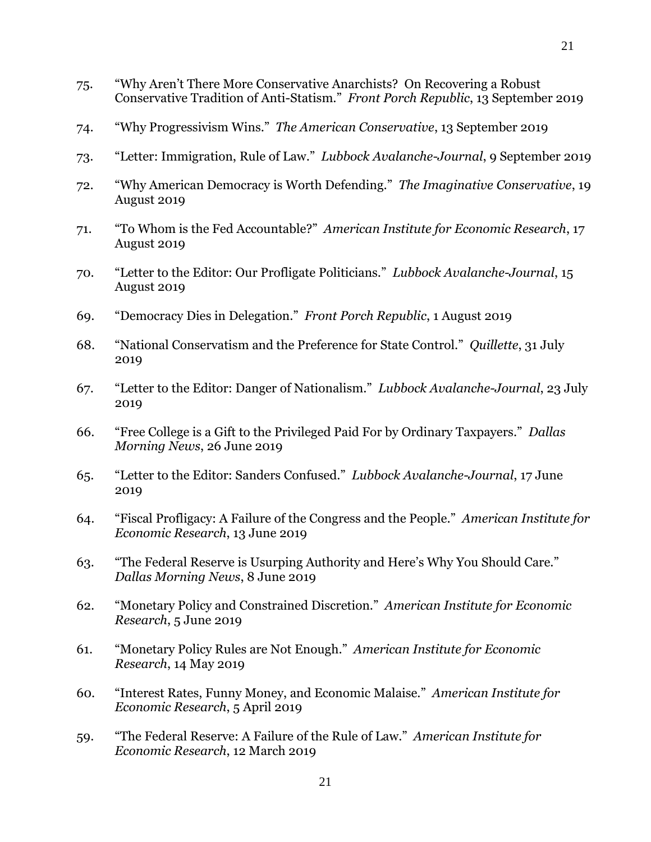- 75. "Why Aren't There More Conservative Anarchists? On Recovering a Robust Conservative Tradition of Anti-Statism." *Front Porch Republic*, 13 September 2019
- 74. "Why Progressivism Wins." *The American Conservative*, 13 September 2019
- 73. "Letter: Immigration, Rule of Law." *Lubbock Avalanche-Journal*, 9 September 2019
- 72. "Why American Democracy is Worth Defending." *The Imaginative Conservative*, 19 August 2019
- 71. "To Whom is the Fed Accountable?" *American Institute for Economic Research*, 17 August 2019
- 70. "Letter to the Editor: Our Profligate Politicians." *Lubbock Avalanche-Journal*, 15 August 2019
- 69. "Democracy Dies in Delegation." *Front Porch Republic*, 1 August 2019
- 68. "National Conservatism and the Preference for State Control." *Quillette*, 31 July 2019
- 67. "Letter to the Editor: Danger of Nationalism." *Lubbock Avalanche-Journal*, 23 July 2019
- 66. "Free College is a Gift to the Privileged Paid For by Ordinary Taxpayers." *Dallas Morning News*, 26 June 2019
- 65. "Letter to the Editor: Sanders Confused." *Lubbock Avalanche-Journal*, 17 June 2019
- 64. "Fiscal Profligacy: A Failure of the Congress and the People." *American Institute for Economic Research*, 13 June 2019
- 63. "The Federal Reserve is Usurping Authority and Here's Why You Should Care." *Dallas Morning News*, 8 June 2019
- 62. "Monetary Policy and Constrained Discretion." *American Institute for Economic Research*, 5 June 2019
- 61. "Monetary Policy Rules are Not Enough." *American Institute for Economic Research*, 14 May 2019
- 60. "Interest Rates, Funny Money, and Economic Malaise." *American Institute for Economic Research*, 5 April 2019
- 59. "The Federal Reserve: A Failure of the Rule of Law." *American Institute for Economic Research*, 12 March 2019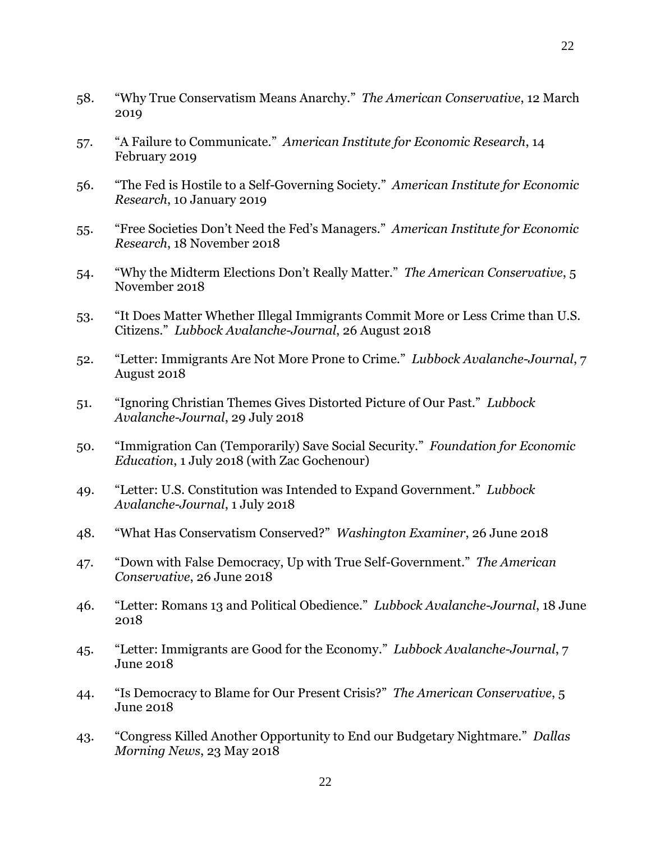- 58. "Why True Conservatism Means Anarchy." *The American Conservative*, 12 March 2019
- 57. "A Failure to Communicate." *American Institute for Economic Research*, 14 February 2019
- 56. "The Fed is Hostile to a Self-Governing Society." *American Institute for Economic Research*, 10 January 2019
- 55. "Free Societies Don't Need the Fed's Managers." *American Institute for Economic Research*, 18 November 2018
- 54. "Why the Midterm Elections Don't Really Matter." *The American Conservative*, 5 November 2018
- 53. "It Does Matter Whether Illegal Immigrants Commit More or Less Crime than U.S. Citizens." *Lubbock Avalanche-Journal*, 26 August 2018
- 52. "Letter: Immigrants Are Not More Prone to Crime." *Lubbock Avalanche-Journal*, 7 August 2018
- 51. "Ignoring Christian Themes Gives Distorted Picture of Our Past." *Lubbock Avalanche-Journal*, 29 July 2018
- 50. "Immigration Can (Temporarily) Save Social Security." *Foundation for Economic Education*, 1 July 2018 (with Zac Gochenour)
- 49. "Letter: U.S. Constitution was Intended to Expand Government." *Lubbock Avalanche-Journal*, 1 July 2018
- 48. "What Has Conservatism Conserved?" *Washington Examiner*, 26 June 2018
- 47. "Down with False Democracy, Up with True Self-Government." *The American Conservative*, 26 June 2018
- 46. "Letter: Romans 13 and Political Obedience." *Lubbock Avalanche-Journal*, 18 June 2018
- 45. "Letter: Immigrants are Good for the Economy." *Lubbock Avalanche-Journal*, 7 June 2018
- 44. "Is Democracy to Blame for Our Present Crisis?" *The American Conservative*, 5 June 2018
- 43. "Congress Killed Another Opportunity to End our Budgetary Nightmare." *Dallas Morning News*, 23 May 2018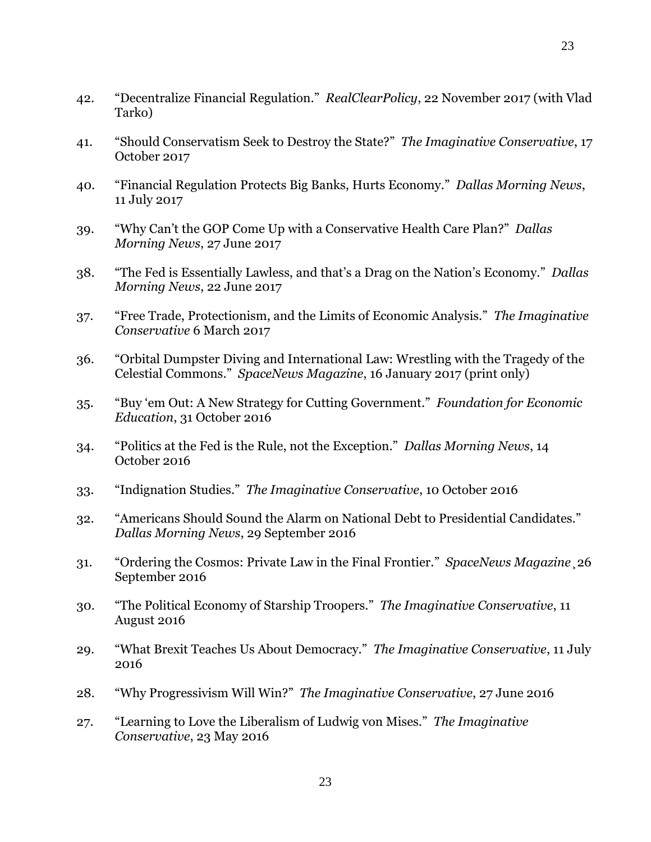- 42. "Decentralize Financial Regulation." *RealClearPolicy*, 22 November 2017 (with Vlad Tarko)
- 41. "Should Conservatism Seek to Destroy the State?" *The Imaginative Conservative*, 17 October 2017
- 40. "Financial Regulation Protects Big Banks, Hurts Economy." *Dallas Morning News*, 11 July 2017
- 39. "Why Can't the GOP Come Up with a Conservative Health Care Plan?" *Dallas Morning News*, 27 June 2017
- 38. "The Fed is Essentially Lawless, and that's a Drag on the Nation's Economy." *Dallas Morning News*, 22 June 2017
- 37. "Free Trade, Protectionism, and the Limits of Economic Analysis." *The Imaginative Conservative* 6 March 2017
- 36. "Orbital Dumpster Diving and International Law: Wrestling with the Tragedy of the Celestial Commons." *SpaceNews Magazine*, 16 January 2017 (print only)
- 35. "Buy 'em Out: A New Strategy for Cutting Government." *Foundation for Economic Education*, 31 October 2016
- 34. "Politics at the Fed is the Rule, not the Exception." *Dallas Morning News*, 14 October 2016
- 33. "Indignation Studies." *The Imaginative Conservative*, 10 October 2016
- 32. "Americans Should Sound the Alarm on National Debt to Presidential Candidates." *Dallas Morning News*, 29 September 2016
- 31. "Ordering the Cosmos: Private Law in the Final Frontier." *SpaceNews Magazine*¸26 September 2016
- 30. "The Political Economy of Starship Troopers." *The Imaginative Conservative*, 11 August 2016
- 29. "What Brexit Teaches Us About Democracy." *The Imaginative Conservative*, 11 July 2016
- 28. "Why Progressivism Will Win?" *The Imaginative Conservative*, 27 June 2016
- 27. "Learning to Love the Liberalism of Ludwig von Mises." *The Imaginative Conservative*, 23 May 2016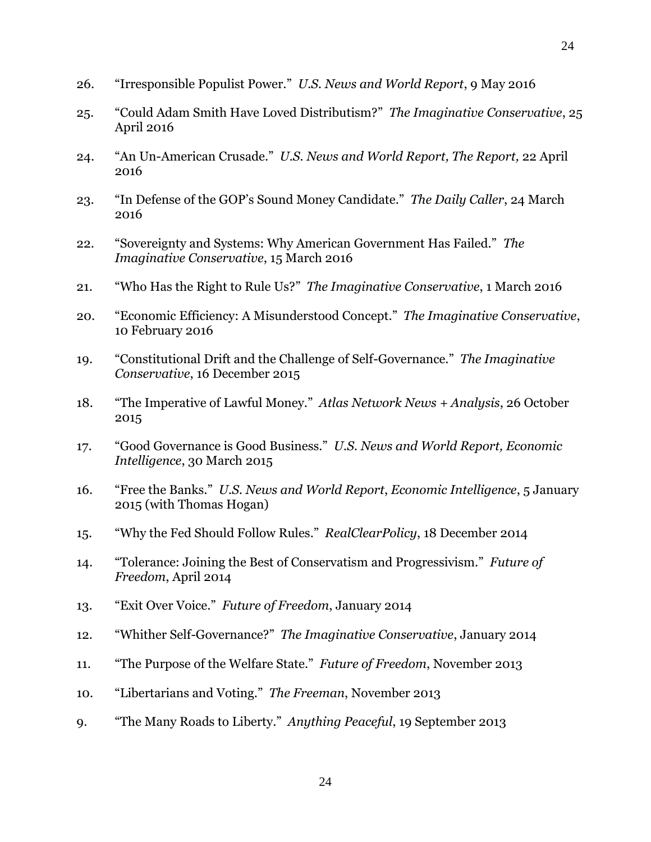- 26. "Irresponsible Populist Power." *U.S. News and World Report*, 9 May 2016
- 25. "Could Adam Smith Have Loved Distributism?" *The Imaginative Conservative*, 25 April 2016
- 24. "An Un-American Crusade." *U.S. News and World Report, The Report,* 22 April 2016
- 23. "In Defense of the GOP's Sound Money Candidate." *The Daily Caller*, 24 March 2016
- 22. "Sovereignty and Systems: Why American Government Has Failed." *The Imaginative Conservative*, 15 March 2016
- 21. "Who Has the Right to Rule Us?" *The Imaginative Conservative*, 1 March 2016
- 20. "Economic Efficiency: A Misunderstood Concept." *The Imaginative Conservative*, 10 February 2016
- 19. "Constitutional Drift and the Challenge of Self-Governance." *The Imaginative Conservative*, 16 December 2015
- 18. "The Imperative of Lawful Money." *Atlas Network News + Analysis*, 26 October 2015
- 17. "Good Governance is Good Business." *U.S. News and World Report, Economic Intelligence*, 30 March 2015
- 16. "Free the Banks." *U.S. News and World Report*, *Economic Intelligence*, 5 January 2015 (with Thomas Hogan)
- 15. "Why the Fed Should Follow Rules." *RealClearPolicy*, 18 December 2014
- 14. "Tolerance: Joining the Best of Conservatism and Progressivism." *Future of Freedom*, April 2014
- 13. "Exit Over Voice." *Future of Freedom*, January 2014
- 12. "Whither Self-Governance?" *The Imaginative Conservative*, January 2014
- 11. "The Purpose of the Welfare State." *Future of Freedom*, November 2013
- 10. "Libertarians and Voting." *The Freeman*, November 2013
- 9. "The Many Roads to Liberty." *Anything Peaceful*, 19 September 2013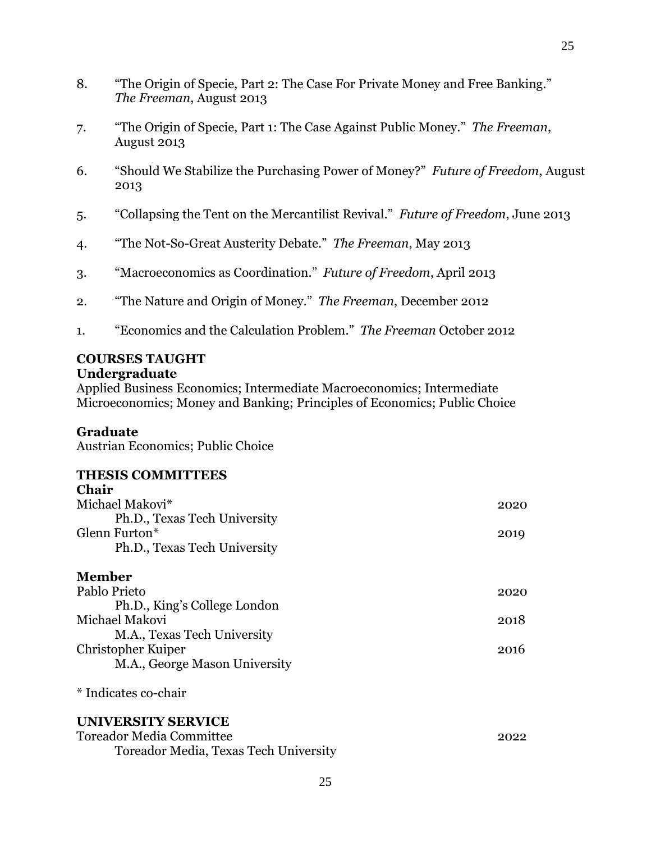- 8. "The Origin of Specie, Part 2: The Case For Private Money and Free Banking." *The Freeman*, August 2013
- 7. "The Origin of Specie, Part 1: The Case Against Public Money." *The Freeman*, August 2013
- 6. "Should We Stabilize the Purchasing Power of Money?" *Future of Freedom*, August 2013

- 5. "Collapsing the Tent on the Mercantilist Revival." *Future of Freedom*, June 2013
- 4. "The Not-So-Great Austerity Debate." *The Freeman*, May 2013
- 3. "Macroeconomics as Coordination." *Future of Freedom*, April 2013
- 2. "The Nature and Origin of Money." *The Freeman*, December 2012
- 1. "Economics and the Calculation Problem." *The Freeman* October 2012

### **COURSES TAUGHT Undergraduate**

Applied Business Economics; Intermediate Macroeconomics; Intermediate Microeconomics; Money and Banking; Principles of Economics; Public Choice

### **Graduate**

Austrian Economics; Public Choice

#### **THESIS COMMITTEES**  $\mathbf{C}$

| Chair                                 |      |
|---------------------------------------|------|
| Michael Makovi*                       | 2020 |
| Ph.D., Texas Tech University          |      |
| Glenn Furton*                         | 2019 |
| Ph.D., Texas Tech University          |      |
| <b>Member</b>                         |      |
| Pablo Prieto                          | 2020 |
| Ph.D., King's College London          |      |
| Michael Makovi                        | 2018 |
| M.A., Texas Tech University           |      |
| Christopher Kuiper                    | 2016 |
| M.A., George Mason University         |      |
| * Indicates co-chair                  |      |
| UNIVERSITY SERVICE                    |      |
| <b>Toreador Media Committee</b>       | 2022 |
| Toreador Media, Texas Tech University |      |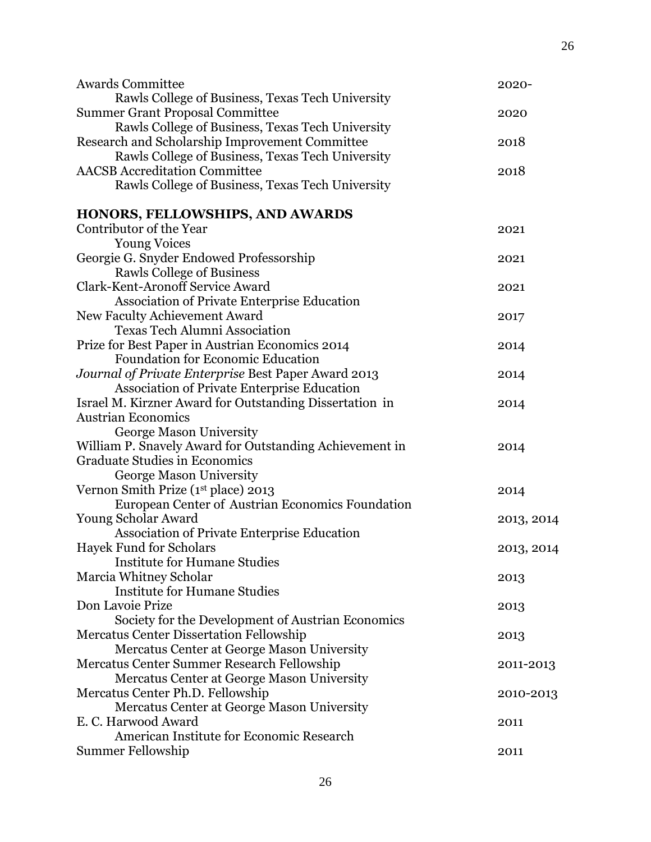| <b>Awards Committee</b>                                                              | 2020-      |
|--------------------------------------------------------------------------------------|------------|
| Rawls College of Business, Texas Tech University                                     |            |
| <b>Summer Grant Proposal Committee</b>                                               | 2020       |
| Rawls College of Business, Texas Tech University                                     |            |
| Research and Scholarship Improvement Committee                                       | 2018       |
| Rawls College of Business, Texas Tech University                                     |            |
| <b>AACSB</b> Accreditation Committee                                                 | 2018       |
| Rawls College of Business, Texas Tech University                                     |            |
| HONORS, FELLOWSHIPS, AND AWARDS                                                      |            |
| Contributor of the Year                                                              | 2021       |
| <b>Young Voices</b>                                                                  |            |
| Georgie G. Snyder Endowed Professorship                                              | 2021       |
| <b>Rawls College of Business</b>                                                     |            |
| <b>Clark-Kent-Aronoff Service Award</b>                                              | 2021       |
| <b>Association of Private Enterprise Education</b>                                   |            |
| New Faculty Achievement Award                                                        | 2017       |
| <b>Texas Tech Alumni Association</b>                                                 |            |
| Prize for Best Paper in Austrian Economics 2014                                      | 2014       |
| <b>Foundation for Economic Education</b>                                             |            |
| Journal of Private Enterprise Best Paper Award 2013                                  | 2014       |
| Association of Private Enterprise Education                                          |            |
| Israel M. Kirzner Award for Outstanding Dissertation in                              | 2014       |
| <b>Austrian Economics</b>                                                            |            |
| George Mason University                                                              |            |
| William P. Snavely Award for Outstanding Achievement in                              | 2014       |
| <b>Graduate Studies in Economics</b>                                                 |            |
| George Mason University                                                              |            |
| Vernon Smith Prize (1st place) 2013                                                  | 2014       |
| European Center of Austrian Economics Foundation                                     |            |
| Young Scholar Award                                                                  | 2013, 2014 |
| <b>Association of Private Enterprise Education</b><br><b>Hayek Fund for Scholars</b> |            |
| <b>Institute for Humane Studies</b>                                                  | 2013, 2014 |
| Marcia Whitney Scholar                                                               | 2013       |
| <b>Institute for Humane Studies</b>                                                  |            |
| Don Lavoie Prize                                                                     | 2013       |
| Society for the Development of Austrian Economics                                    |            |
| <b>Mercatus Center Dissertation Fellowship</b>                                       | 2013       |
| Mercatus Center at George Mason University                                           |            |
| Mercatus Center Summer Research Fellowship                                           | 2011-2013  |
| Mercatus Center at George Mason University                                           |            |
| Mercatus Center Ph.D. Fellowship                                                     | 2010-2013  |
| Mercatus Center at George Mason University                                           |            |
| E. C. Harwood Award                                                                  | 2011       |
| American Institute for Economic Research                                             |            |
| Summer Fellowship                                                                    | 2011       |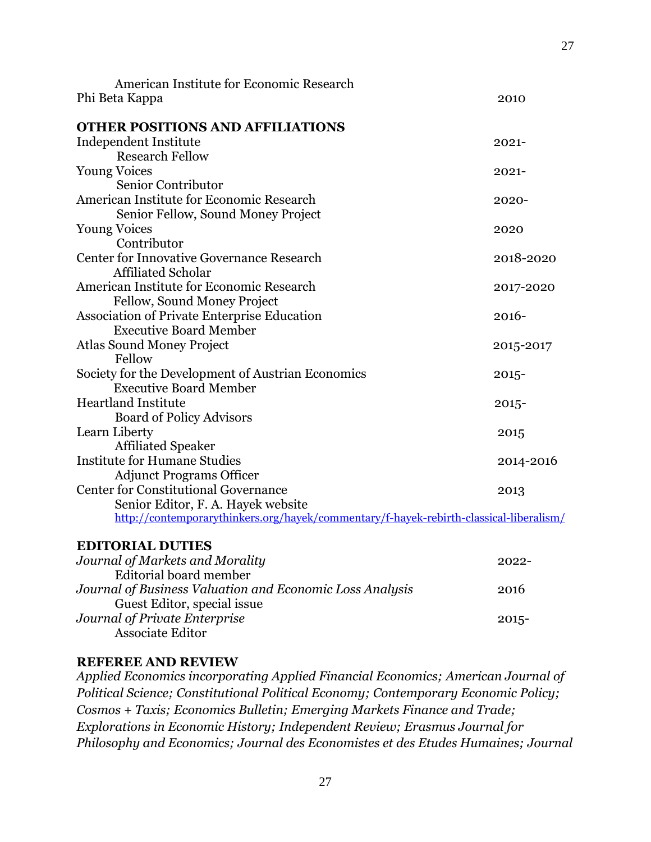| American Institute for Economic Research                                               |           |
|----------------------------------------------------------------------------------------|-----------|
| Phi Beta Kappa                                                                         | 2010      |
|                                                                                        |           |
| <b>OTHER POSITIONS AND AFFILIATIONS</b>                                                |           |
| Independent Institute                                                                  | $2021 -$  |
| <b>Research Fellow</b>                                                                 |           |
| <b>Young Voices</b>                                                                    | $2021 -$  |
| Senior Contributor                                                                     |           |
| American Institute for Economic Research                                               | $2020 -$  |
| Senior Fellow, Sound Money Project                                                     |           |
| <b>Young Voices</b>                                                                    | 2020      |
| Contributor                                                                            |           |
| Center for Innovative Governance Research                                              | 2018-2020 |
| <b>Affiliated Scholar</b>                                                              |           |
| American Institute for Economic Research                                               | 2017-2020 |
| Fellow, Sound Money Project                                                            |           |
| <b>Association of Private Enterprise Education</b>                                     | $2016 -$  |
| <b>Executive Board Member</b>                                                          |           |
| <b>Atlas Sound Money Project</b>                                                       | 2015-2017 |
| Fellow                                                                                 |           |
| Society for the Development of Austrian Economics                                      | $2015 -$  |
| <b>Executive Board Member</b>                                                          |           |
| <b>Heartland Institute</b>                                                             | $2015 -$  |
| <b>Board of Policy Advisors</b>                                                        |           |
| Learn Liberty                                                                          | 2015      |
| <b>Affiliated Speaker</b>                                                              |           |
| <b>Institute for Humane Studies</b>                                                    | 2014-2016 |
| <b>Adjunct Programs Officer</b>                                                        |           |
| <b>Center for Constitutional Governance</b>                                            | 2013      |
| Senior Editor, F. A. Hayek website                                                     |           |
| http://contemporarythinkers.org/hayek/commentary/f-hayek-rebirth-classical-liberalism/ |           |
|                                                                                        |           |

### **EDITORIAL DUTIES**

| Journal of Markets and Morality                          | $2022 -$ |
|----------------------------------------------------------|----------|
| Editorial board member                                   |          |
| Journal of Business Valuation and Economic Loss Analysis | 2016     |
| Guest Editor, special issue                              |          |
| Journal of Private Enterprise                            | $2015 -$ |
| <b>Associate Editor</b>                                  |          |

# **REFEREE AND REVIEW**

*Applied Economics incorporating Applied Financial Economics; American Journal of Political Science; Constitutional Political Economy; Contemporary Economic Policy; Cosmos + Taxis; Economics Bulletin; Emerging Markets Finance and Trade; Explorations in Economic History; Independent Review; Erasmus Journal for Philosophy and Economics; Journal des Economistes et des Etudes Humaines; Journal*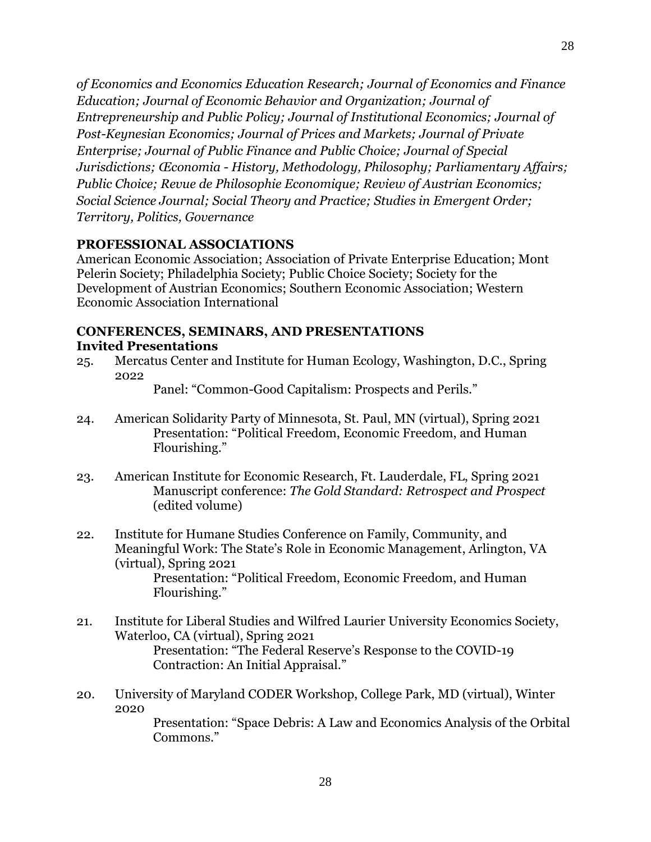*of Economics and Economics Education Research; Journal of Economics and Finance Education; Journal of Economic Behavior and Organization; Journal of Entrepreneurship and Public Policy; Journal of Institutional Economics; Journal of Post-Keynesian Economics; Journal of Prices and Markets; Journal of Private Enterprise; Journal of Public Finance and Public Choice; Journal of Special Jurisdictions; Œconomia - History, Methodology, Philosophy; Parliamentary Affairs; Public Choice; Revue de Philosophie Economique; Review of Austrian Economics; Social Science Journal; Social Theory and Practice; Studies in Emergent Order; Territory, Politics, Governance*

# **PROFESSIONAL ASSOCIATIONS**

American Economic Association; Association of Private Enterprise Education; Mont Pelerin Society; Philadelphia Society; Public Choice Society; Society for the Development of Austrian Economics; Southern Economic Association; Western Economic Association International

# **CONFERENCES, SEMINARS, AND PRESENTATIONS Invited Presentations**

25. Mercatus Center and Institute for Human Ecology, Washington, D.C., Spring 2022

Panel: "Common-Good Capitalism: Prospects and Perils."

- 24. American Solidarity Party of Minnesota, St. Paul, MN (virtual), Spring 2021 Presentation: "Political Freedom, Economic Freedom, and Human Flourishing."
- 23. American Institute for Economic Research, Ft. Lauderdale, FL, Spring 2021 Manuscript conference: *The Gold Standard: Retrospect and Prospect* (edited volume)
- 22. Institute for Humane Studies Conference on Family, Community, and Meaningful Work: The State's Role in Economic Management, Arlington, VA (virtual), Spring 2021 Presentation: "Political Freedom, Economic Freedom, and Human Flourishing."
- 21. Institute for Liberal Studies and Wilfred Laurier University Economics Society, Waterloo, CA (virtual), Spring 2021 Presentation: "The Federal Reserve's Response to the COVID-19 Contraction: An Initial Appraisal."
- 20. University of Maryland CODER Workshop, College Park, MD (virtual), Winter 2020

Presentation: "Space Debris: A Law and Economics Analysis of the Orbital Commons."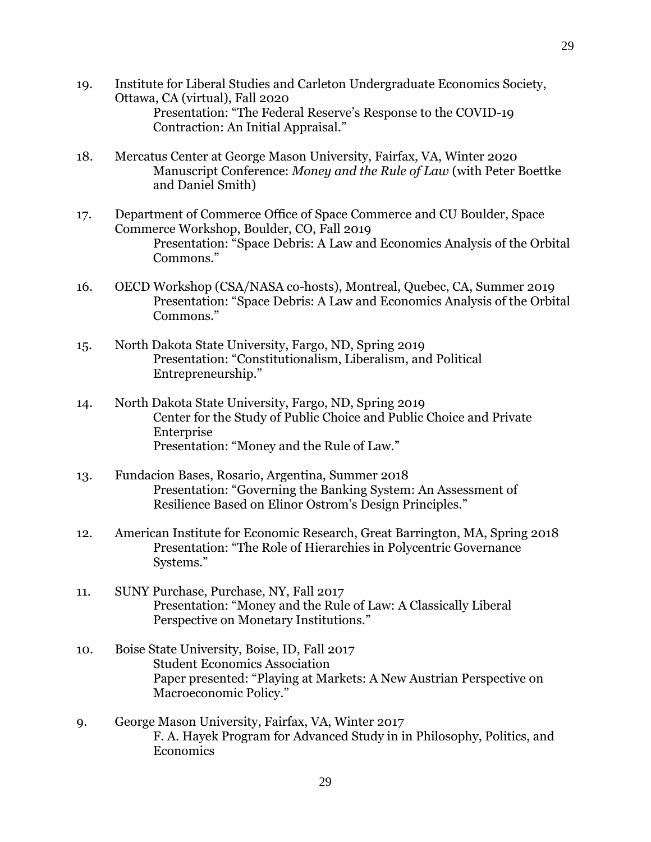- 19. Institute for Liberal Studies and Carleton Undergraduate Economics Society, Ottawa, CA (virtual), Fall 2020 Presentation: "The Federal Reserve's Response to the COVID-19 Contraction: An Initial Appraisal."
- 18. Mercatus Center at George Mason University, Fairfax, VA, Winter 2020 Manuscript Conference: *Money and the Rule of Law* (with Peter Boettke and Daniel Smith)
- 17. Department of Commerce Office of Space Commerce and CU Boulder, Space Commerce Workshop, Boulder, CO, Fall 2019 Presentation: "Space Debris: A Law and Economics Analysis of the Orbital Commons."
- 16. OECD Workshop (CSA/NASA co-hosts), Montreal, Quebec, CA, Summer 2019 Presentation: "Space Debris: A Law and Economics Analysis of the Orbital Commons."
- 15. North Dakota State University, Fargo, ND, Spring 2019 Presentation: "Constitutionalism, Liberalism, and Political Entrepreneurship."
- 14. North Dakota State University, Fargo, ND, Spring 2019 Center for the Study of Public Choice and Public Choice and Private Enterprise Presentation: "Money and the Rule of Law."
- 13. Fundacion Bases, Rosario, Argentina, Summer 2018 Presentation: "Governing the Banking System: An Assessment of Resilience Based on Elinor Ostrom's Design Principles."
- 12. American Institute for Economic Research, Great Barrington, MA, Spring 2018 Presentation: "The Role of Hierarchies in Polycentric Governance Systems."
- 11. SUNY Purchase, Purchase, NY, Fall 2017 Presentation: "Money and the Rule of Law: A Classically Liberal Perspective on Monetary Institutions."
- 10. Boise State University, Boise, ID, Fall 2017 Student Economics Association Paper presented: "Playing at Markets: A New Austrian Perspective on Macroeconomic Policy."
- 9. George Mason University, Fairfax, VA, Winter 2017 F. A. Hayek Program for Advanced Study in in Philosophy, Politics, and Economics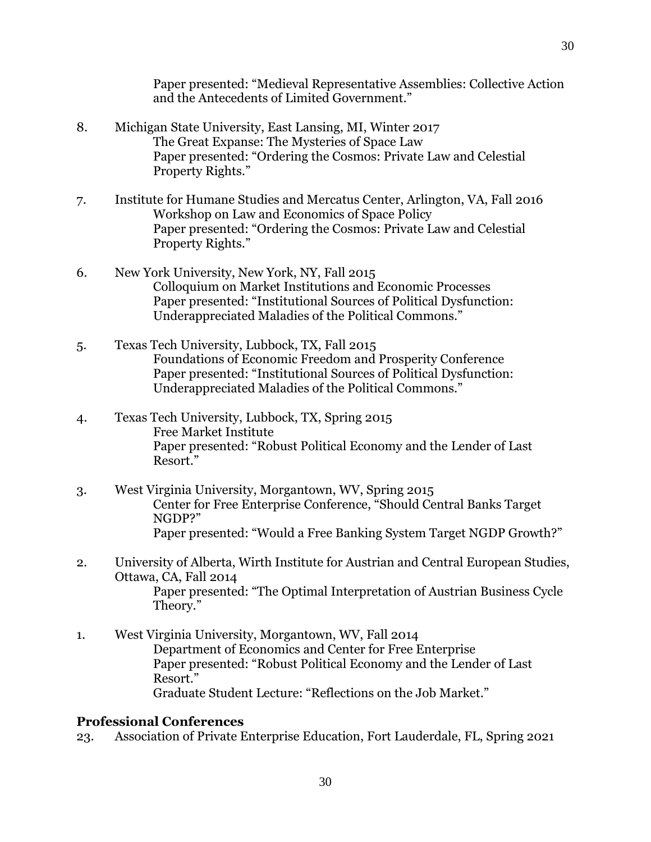Paper presented: "Medieval Representative Assemblies: Collective Action and the Antecedents of Limited Government."

- 8. Michigan State University, East Lansing, MI, Winter 2017 The Great Expanse: The Mysteries of Space Law Paper presented: "Ordering the Cosmos: Private Law and Celestial Property Rights."
- 7. Institute for Humane Studies and Mercatus Center, Arlington, VA, Fall 2016 Workshop on Law and Economics of Space Policy Paper presented: "Ordering the Cosmos: Private Law and Celestial Property Rights."
- 6. New York University, New York, NY, Fall 2015 Colloquium on Market Institutions and Economic Processes Paper presented: "Institutional Sources of Political Dysfunction: Underappreciated Maladies of the Political Commons."
- 5. Texas Tech University, Lubbock, TX, Fall 2015 Foundations of Economic Freedom and Prosperity Conference Paper presented: "Institutional Sources of Political Dysfunction: Underappreciated Maladies of the Political Commons."
- 4. Texas Tech University, Lubbock, TX, Spring 2015 Free Market Institute Paper presented: "Robust Political Economy and the Lender of Last Resort."
- 3. West Virginia University, Morgantown, WV, Spring 2015 Center for Free Enterprise Conference, "Should Central Banks Target NGDP?" Paper presented: "Would a Free Banking System Target NGDP Growth?"
- 2. University of Alberta, Wirth Institute for Austrian and Central European Studies, Ottawa, CA, Fall 2014 Paper presented: "The Optimal Interpretation of Austrian Business Cycle Theory."
- 1. West Virginia University, Morgantown, WV, Fall 2014 Department of Economics and Center for Free Enterprise Paper presented: "Robust Political Economy and the Lender of Last Resort." Graduate Student Lecture: "Reflections on the Job Market."

### **Professional Conferences**

23. Association of Private Enterprise Education, Fort Lauderdale, FL, Spring 2021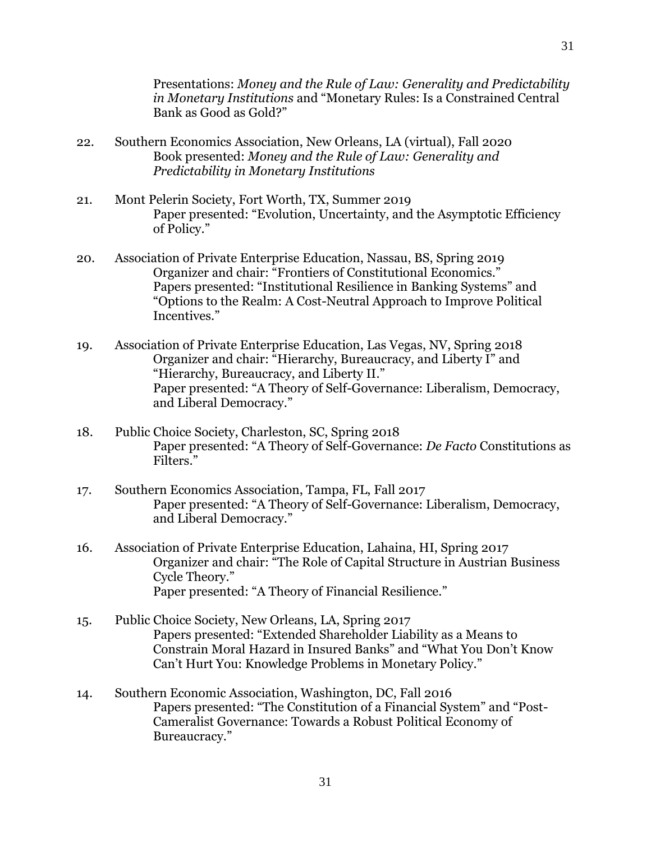Presentations: *Money and the Rule of Law: Generality and Predictability in Monetary Institutions* and "Monetary Rules: Is a Constrained Central Bank as Good as Gold?"

- 22. Southern Economics Association, New Orleans, LA (virtual), Fall 2020 Book presented: *Money and the Rule of Law: Generality and Predictability in Monetary Institutions*
- 21. Mont Pelerin Society, Fort Worth, TX, Summer 2019 Paper presented: "Evolution, Uncertainty, and the Asymptotic Efficiency of Policy."
- 20. Association of Private Enterprise Education, Nassau, BS, Spring 2019 Organizer and chair: "Frontiers of Constitutional Economics." Papers presented: "Institutional Resilience in Banking Systems" and "Options to the Realm: A Cost-Neutral Approach to Improve Political Incentives."
- 19. Association of Private Enterprise Education, Las Vegas, NV, Spring 2018 Organizer and chair: "Hierarchy, Bureaucracy, and Liberty I" and "Hierarchy, Bureaucracy, and Liberty II." Paper presented: "A Theory of Self-Governance: Liberalism, Democracy, and Liberal Democracy."
- 18. Public Choice Society, Charleston, SC, Spring 2018 Paper presented: "A Theory of Self-Governance: *De Facto* Constitutions as Filters."
- 17. Southern Economics Association, Tampa, FL, Fall 2017 Paper presented: "A Theory of Self-Governance: Liberalism, Democracy, and Liberal Democracy."
- 16. Association of Private Enterprise Education, Lahaina, HI, Spring 2017 Organizer and chair: "The Role of Capital Structure in Austrian Business Cycle Theory." Paper presented: "A Theory of Financial Resilience."
- 15. Public Choice Society, New Orleans, LA, Spring 2017 Papers presented: "Extended Shareholder Liability as a Means to Constrain Moral Hazard in Insured Banks" and "What You Don't Know Can't Hurt You: Knowledge Problems in Monetary Policy."
- 14. Southern Economic Association, Washington, DC, Fall 2016 Papers presented: "The Constitution of a Financial System" and "Post-Cameralist Governance: Towards a Robust Political Economy of Bureaucracy."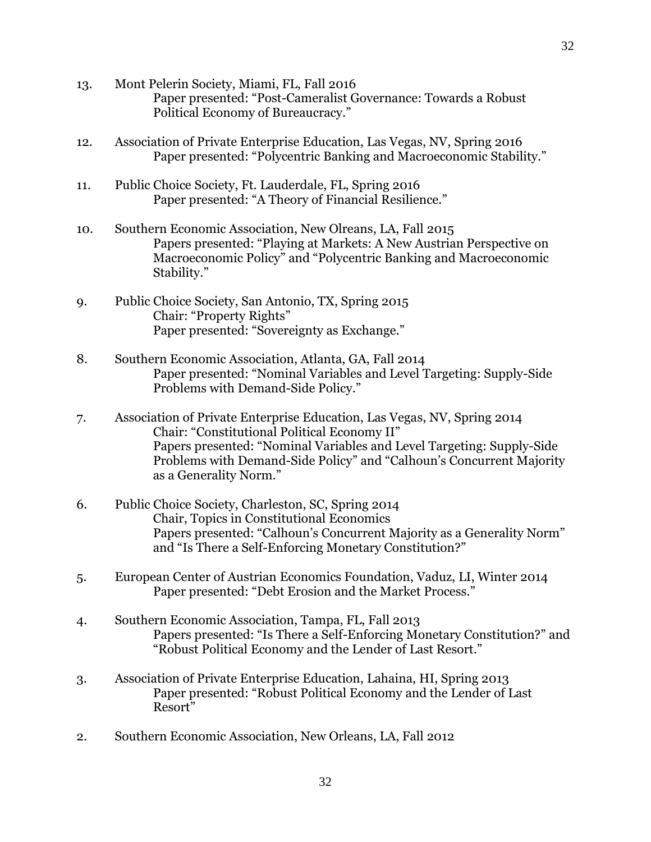- 13. Mont Pelerin Society, Miami, FL, Fall 2016 Paper presented: "Post-Cameralist Governance: Towards a Robust Political Economy of Bureaucracy."
- 12. Association of Private Enterprise Education, Las Vegas, NV, Spring 2016 Paper presented: "Polycentric Banking and Macroeconomic Stability."
- 11. Public Choice Society, Ft. Lauderdale, FL, Spring 2016 Paper presented: "A Theory of Financial Resilience."
- 10. Southern Economic Association, New Olreans, LA, Fall 2015 Papers presented: "Playing at Markets: A New Austrian Perspective on Macroeconomic Policy" and "Polycentric Banking and Macroeconomic Stability."
- 9. Public Choice Society, San Antonio, TX, Spring 2015 Chair: "Property Rights" Paper presented: "Sovereignty as Exchange."
- 8. Southern Economic Association, Atlanta, GA, Fall 2014 Paper presented: "Nominal Variables and Level Targeting: Supply-Side Problems with Demand-Side Policy."
- 7. Association of Private Enterprise Education, Las Vegas, NV, Spring 2014 Chair: "Constitutional Political Economy II" Papers presented: "Nominal Variables and Level Targeting: Supply-Side Problems with Demand-Side Policy" and "Calhoun's Concurrent Majority as a Generality Norm."
- 6. Public Choice Society, Charleston, SC, Spring 2014 Chair, Topics in Constitutional Economics Papers presented: "Calhoun's Concurrent Majority as a Generality Norm" and "Is There a Self-Enforcing Monetary Constitution?"
- 5. European Center of Austrian Economics Foundation, Vaduz, LI, Winter 2014 Paper presented: "Debt Erosion and the Market Process."
- 4. Southern Economic Association, Tampa, FL, Fall 2013 Papers presented: "Is There a Self-Enforcing Monetary Constitution?" and "Robust Political Economy and the Lender of Last Resort."
- 3. Association of Private Enterprise Education, Lahaina, HI, Spring 2013 Paper presented: "Robust Political Economy and the Lender of Last Resort"
- 2. Southern Economic Association, New Orleans, LA, Fall 2012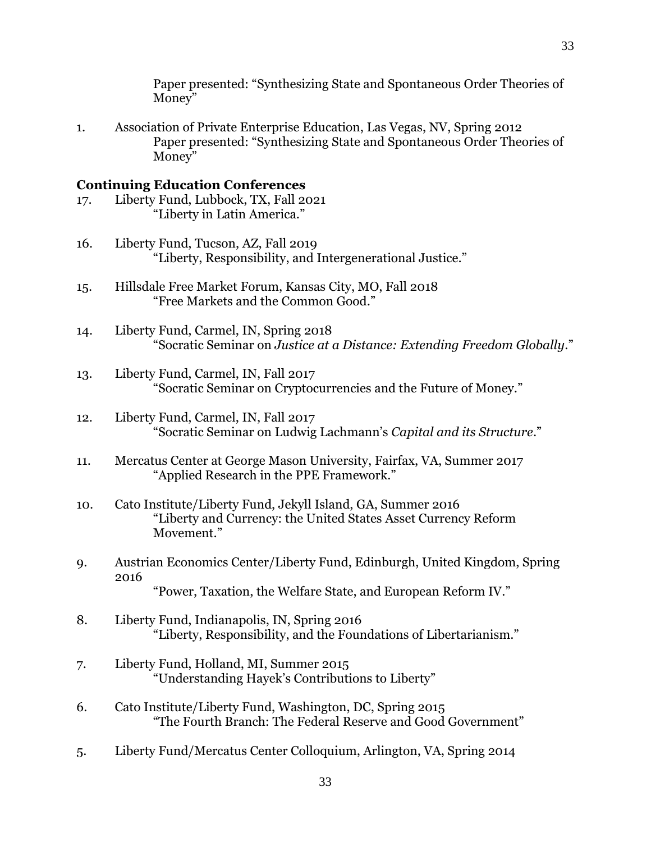Paper presented: "Synthesizing State and Spontaneous Order Theories of Money"

1. Association of Private Enterprise Education, Las Vegas, NV, Spring 2012 Paper presented: "Synthesizing State and Spontaneous Order Theories of Money"

# **Continuing Education Conferences**

- 17. Liberty Fund, Lubbock, TX, Fall 2021 "Liberty in Latin America."
- 16. Liberty Fund, Tucson, AZ, Fall 2019 "Liberty, Responsibility, and Intergenerational Justice."
- 15. Hillsdale Free Market Forum, Kansas City, MO, Fall 2018 "Free Markets and the Common Good."
- 14. Liberty Fund, Carmel, IN, Spring 2018 "Socratic Seminar on *Justice at a Distance: Extending Freedom Globally*."
- 13. Liberty Fund, Carmel, IN, Fall 2017 "Socratic Seminar on Cryptocurrencies and the Future of Money."
- 12. Liberty Fund, Carmel, IN, Fall 2017 "Socratic Seminar on Ludwig Lachmann's *Capital and its Structure*."
- 11. Mercatus Center at George Mason University, Fairfax, VA, Summer 2017 "Applied Research in the PPE Framework."
- 10. Cato Institute/Liberty Fund, Jekyll Island, GA, Summer 2016 "Liberty and Currency: the United States Asset Currency Reform Movement."
- 9. Austrian Economics Center/Liberty Fund, Edinburgh, United Kingdom, Spring 2016 "Power, Taxation, the Welfare State, and European Reform IV."
- 8. Liberty Fund, Indianapolis, IN, Spring 2016 "Liberty, Responsibility, and the Foundations of Libertarianism."
- 7. Liberty Fund, Holland, MI, Summer 2015 "Understanding Hayek's Contributions to Liberty"
- 6. Cato Institute/Liberty Fund, Washington, DC, Spring 2015 "The Fourth Branch: The Federal Reserve and Good Government"
- 5. Liberty Fund/Mercatus Center Colloquium, Arlington, VA, Spring 2014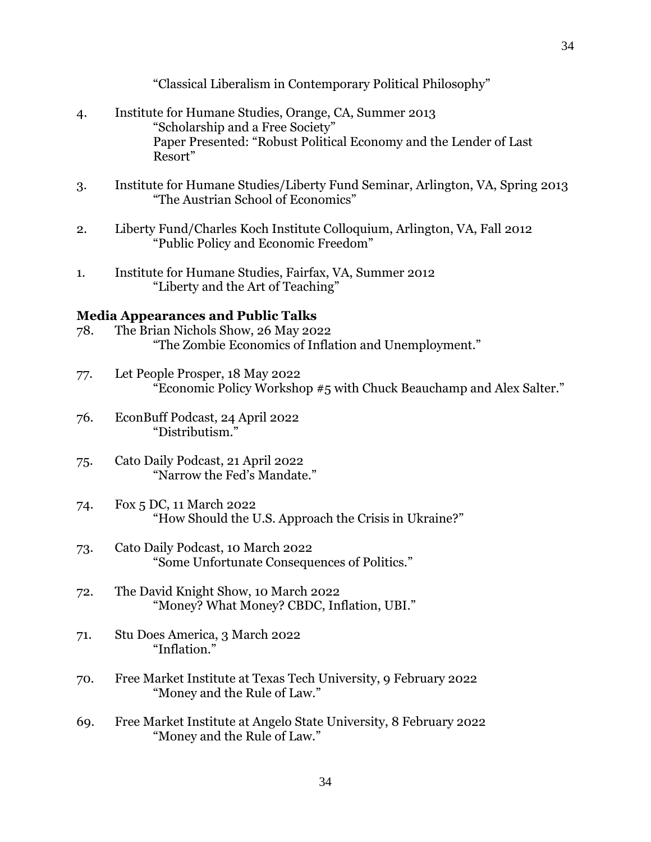"Classical Liberalism in Contemporary Political Philosophy"

- 4. Institute for Humane Studies, Orange, CA, Summer 2013 "Scholarship and a Free Society" Paper Presented: "Robust Political Economy and the Lender of Last Resort"
- 3. Institute for Humane Studies/Liberty Fund Seminar, Arlington, VA, Spring 2013 "The Austrian School of Economics"
- 2. Liberty Fund/Charles Koch Institute Colloquium, Arlington, VA, Fall 2012 "Public Policy and Economic Freedom"
- 1. Institute for Humane Studies, Fairfax, VA, Summer 2012 "Liberty and the Art of Teaching"

# **Media Appearances and Public Talks**

- 78. The Brian Nichols Show, 26 May 2022 "The Zombie Economics of Inflation and Unemployment."
- 77. Let People Prosper, 18 May 2022 "Economic Policy Workshop #5 with Chuck Beauchamp and Alex Salter."
- 76. EconBuff Podcast, 24 April 2022 "Distributism."
- 75. Cato Daily Podcast, 21 April 2022 "Narrow the Fed's Mandate."
- 74. Fox 5 DC, 11 March 2022 "How Should the U.S. Approach the Crisis in Ukraine?"
- 73. Cato Daily Podcast, 10 March 2022 "Some Unfortunate Consequences of Politics."
- 72. The David Knight Show, 10 March 2022 "Money? What Money? CBDC, Inflation, UBI."
- 71. Stu Does America, 3 March 2022 "Inflation."
- 70. Free Market Institute at Texas Tech University, 9 February 2022 "Money and the Rule of Law."
- 69. Free Market Institute at Angelo State University, 8 February 2022 "Money and the Rule of Law."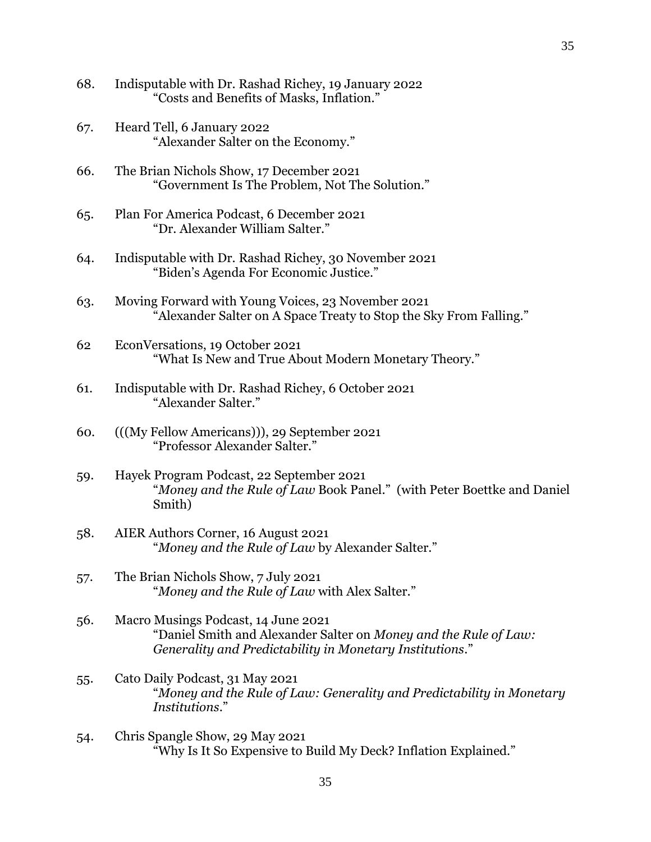- 68. Indisputable with Dr. Rashad Richey, 19 January 2022 "Costs and Benefits of Masks, Inflation."
- 67. Heard Tell, 6 January 2022 "Alexander Salter on the Economy."
- 66. The Brian Nichols Show, 17 December 2021 "Government Is The Problem, Not The Solution."
- 65. Plan For America Podcast, 6 December 2021 "Dr. Alexander William Salter."
- 64. Indisputable with Dr. Rashad Richey, 30 November 2021 "Biden's Agenda For Economic Justice."
- 63. Moving Forward with Young Voices, 23 November 2021 "Alexander Salter on A Space Treaty to Stop the Sky From Falling."
- 62 EconVersations, 19 October 2021 "What Is New and True About Modern Monetary Theory."
- 61. Indisputable with Dr. Rashad Richey, 6 October 2021 "Alexander Salter."
- 60. (((My Fellow Americans))), 29 September 2021 "Professor Alexander Salter."
- 59. Hayek Program Podcast, 22 September 2021 "*Money and the Rule of Law* Book Panel." (with Peter Boettke and Daniel Smith)
- 58. AIER Authors Corner, 16 August 2021 "*Money and the Rule of Law* by Alexander Salter."
- 57. The Brian Nichols Show, 7 July 2021 "*Money and the Rule of Law* with Alex Salter."
- 56. Macro Musings Podcast, 14 June 2021 "Daniel Smith and Alexander Salter on *Money and the Rule of Law: Generality and Predictability in Monetary Institutions*."
- 55. Cato Daily Podcast, 31 May 2021 "*Money and the Rule of Law: Generality and Predictability in Monetary Institutions*."
- 54. Chris Spangle Show, 29 May 2021 "Why Is It So Expensive to Build My Deck? Inflation Explained."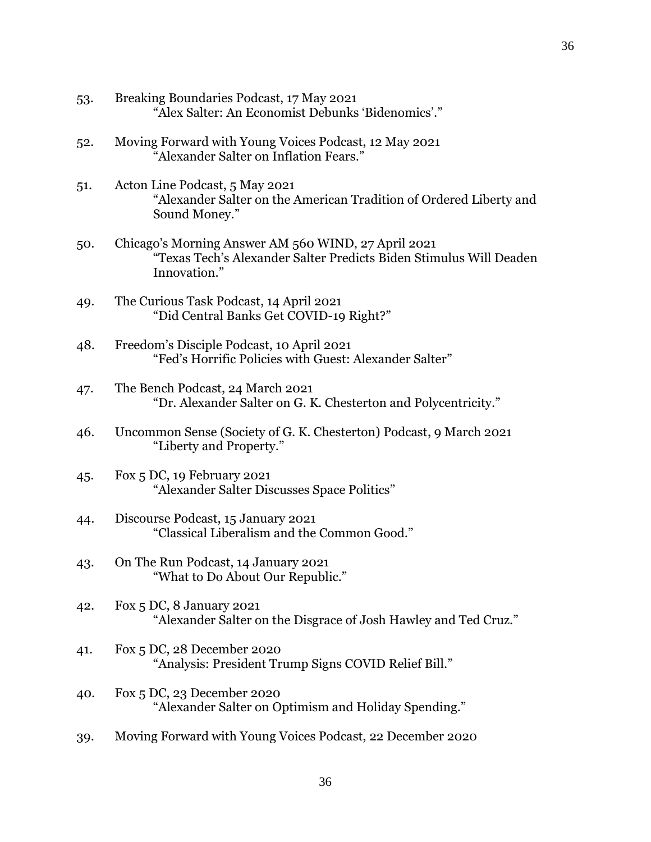- 53. Breaking Boundaries Podcast, 17 May 2021 "Alex Salter: An Economist Debunks 'Bidenomics'."
- 52. Moving Forward with Young Voices Podcast, 12 May 2021 "Alexander Salter on Inflation Fears."
- 51. Acton Line Podcast, 5 May 2021 "Alexander Salter on the American Tradition of Ordered Liberty and Sound Money."
- 50. Chicago's Morning Answer AM 560 WIND, 27 April 2021 "Texas Tech's Alexander Salter Predicts Biden Stimulus Will Deaden Innovation."
- 49. The Curious Task Podcast, 14 April 2021 "Did Central Banks Get COVID-19 Right?"
- 48. Freedom's Disciple Podcast, 10 April 2021 "Fed's Horrific Policies with Guest: Alexander Salter"
- 47. The Bench Podcast, 24 March 2021 "Dr. Alexander Salter on G. K. Chesterton and Polycentricity."
- 46. Uncommon Sense (Society of G. K. Chesterton) Podcast, 9 March 2021 "Liberty and Property."
- 45. Fox 5 DC, 19 February 2021 "Alexander Salter Discusses Space Politics"
- 44. Discourse Podcast, 15 January 2021 "Classical Liberalism and the Common Good."
- 43. On The Run Podcast, 14 January 2021 "What to Do About Our Republic."
- 42. Fox 5 DC, 8 January 2021 "Alexander Salter on the Disgrace of Josh Hawley and Ted Cruz."
- 41. Fox 5 DC, 28 December 2020 "Analysis: President Trump Signs COVID Relief Bill."
- 40. Fox 5 DC, 23 December 2020 "Alexander Salter on Optimism and Holiday Spending."
- 39. Moving Forward with Young Voices Podcast, 22 December 2020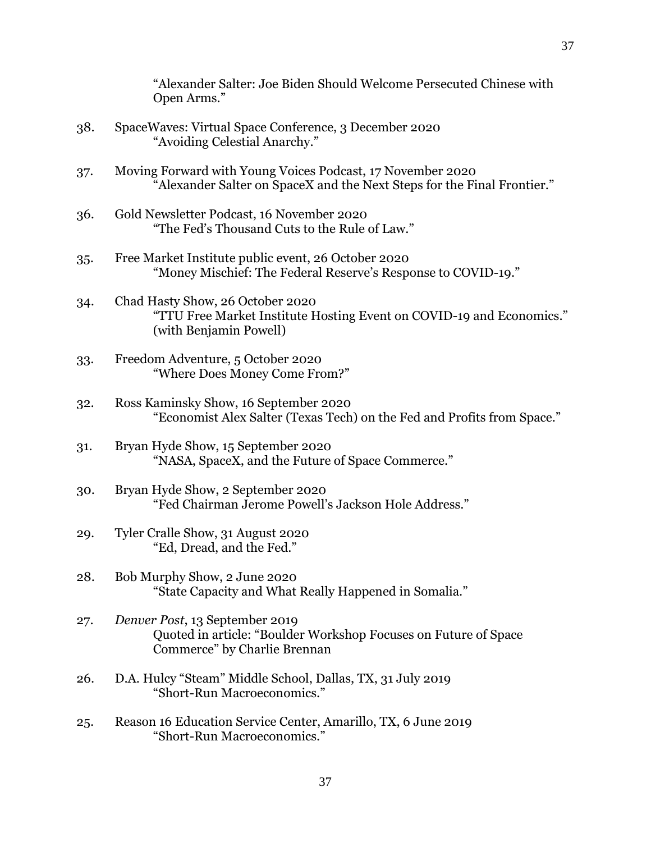"Alexander Salter: Joe Biden Should Welcome Persecuted Chinese with Open Arms."

- 38. SpaceWaves: Virtual Space Conference, 3 December 2020 "Avoiding Celestial Anarchy."
- 37. Moving Forward with Young Voices Podcast, 17 November 2020 "Alexander Salter on SpaceX and the Next Steps for the Final Frontier."
- 36. Gold Newsletter Podcast, 16 November 2020 "The Fed's Thousand Cuts to the Rule of Law."
- 35. Free Market Institute public event, 26 October 2020 "Money Mischief: The Federal Reserve's Response to COVID-19."
- 34. Chad Hasty Show, 26 October 2020 "TTU Free Market Institute Hosting Event on COVID-19 and Economics." (with Benjamin Powell)
- 33. Freedom Adventure, 5 October 2020 "Where Does Money Come From?"
- 32. Ross Kaminsky Show, 16 September 2020 "Economist Alex Salter (Texas Tech) on the Fed and Profits from Space."
- 31. Bryan Hyde Show, 15 September 2020 "NASA, SpaceX, and the Future of Space Commerce."
- 30. Bryan Hyde Show, 2 September 2020 "Fed Chairman Jerome Powell's Jackson Hole Address."
- 29. Tyler Cralle Show, 31 August 2020 "Ed, Dread, and the Fed."
- 28. Bob Murphy Show, 2 June 2020 "State Capacity and What Really Happened in Somalia."
- 27. *Denver Post*, 13 September 2019 Quoted in article: "Boulder Workshop Focuses on Future of Space Commerce" by Charlie Brennan
- 26. D.A. Hulcy "Steam" Middle School, Dallas, TX, 31 July 2019 "Short-Run Macroeconomics."
- 25. Reason 16 Education Service Center, Amarillo, TX, 6 June 2019 "Short-Run Macroeconomics."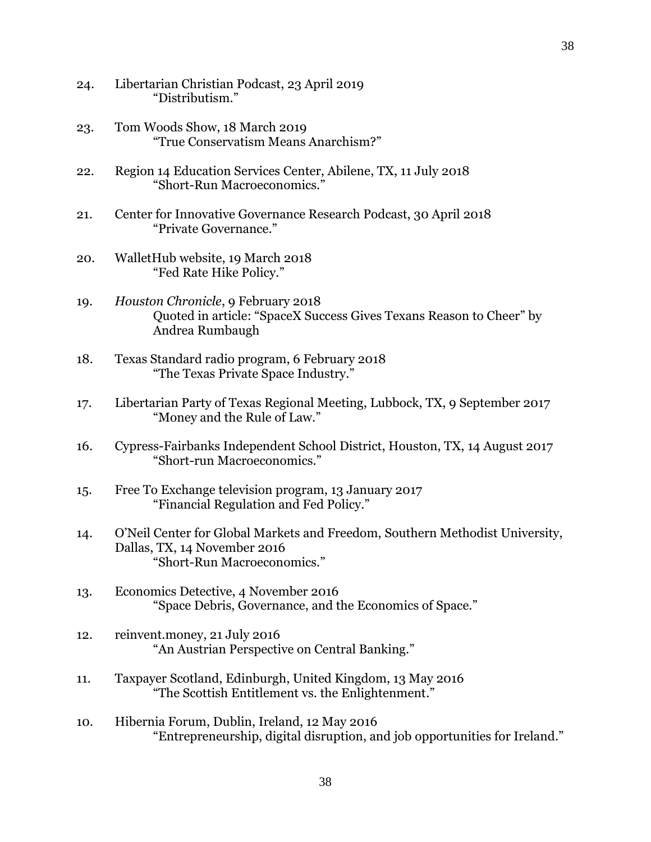- 24. Libertarian Christian Podcast, 23 April 2019 "Distributism."
- 23. Tom Woods Show, 18 March 2019 "True Conservatism Means Anarchism?"
- 22. Region 14 Education Services Center, Abilene, TX, 11 July 2018 "Short-Run Macroeconomics."
- 21. Center for Innovative Governance Research Podcast, 30 April 2018 "Private Governance."
- 20. WalletHub website, 19 March 2018 "Fed Rate Hike Policy."
- 19. *Houston Chronicle*, 9 February 2018 Quoted in article: "SpaceX Success Gives Texans Reason to Cheer" by Andrea Rumbaugh
- 18. Texas Standard radio program, 6 February 2018 "The Texas Private Space Industry."
- 17. Libertarian Party of Texas Regional Meeting, Lubbock, TX, 9 September 2017 "Money and the Rule of Law."
- 16. Cypress-Fairbanks Independent School District, Houston, TX, 14 August 2017 "Short-run Macroeconomics."
- 15. Free To Exchange television program, 13 January 2017 "Financial Regulation and Fed Policy."
- 14. O'Neil Center for Global Markets and Freedom, Southern Methodist University, Dallas, TX, 14 November 2016 "Short-Run Macroeconomics."
- 13. Economics Detective, 4 November 2016 "Space Debris, Governance, and the Economics of Space."
- 12. reinvent.money, 21 July 2016 "An Austrian Perspective on Central Banking."
- 11. Taxpayer Scotland, Edinburgh, United Kingdom, 13 May 2016 "The Scottish Entitlement vs. the Enlightenment."
- 10. Hibernia Forum, Dublin, Ireland, 12 May 2016 "Entrepreneurship, digital disruption, and job opportunities for Ireland."